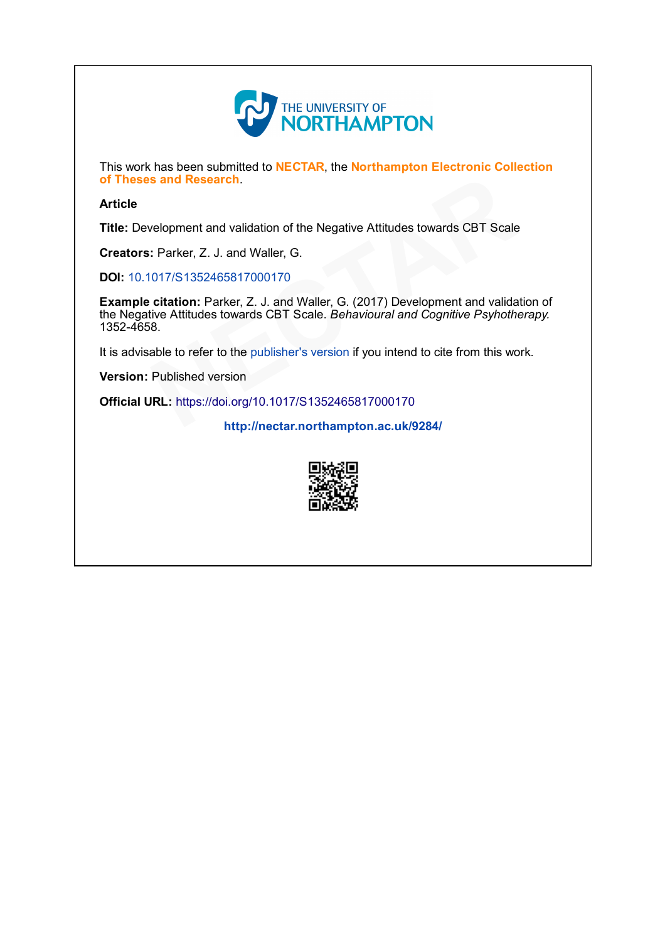

This work has been submitted to NECTAR, the Northampton Electronic Collection of Theses and Research.

## Article

Title: Development and validation of the Negative Attitudes towards CBT Scale

Creators: Parker, Z. J. and Waller, G.

DOI: [10.1017/S1352465817000170](http://dx.doi.org/10.1017/S1352465817000170)

Example citation: Parker, Z. J. and Waller, G. (2017) Development and validation of the Negative Attitudes towards CBT Scale. Behavioural and Cognitive Psyhotherapy. 13524658. Parch.<br>
and validation of the Negative Attitudes towards CBT Scale<br>
J. and Waller, G.<br>
465817000170<br>
Parker, Z. J. and Waller, G. (2017) Development and valida<br>
s towards CBT Scale. *Behavioural and Cognitive Psyhothe*<br>
r

It is advisable to refer to the publisher's version if you intend to cite from this work.<br> **Version:** Published version<br> **Official URL:** <https://doi.org/10.1017/S1352465817000170><br> <http://nectar.northampton.ac.uk/9284/>

Version: Published version

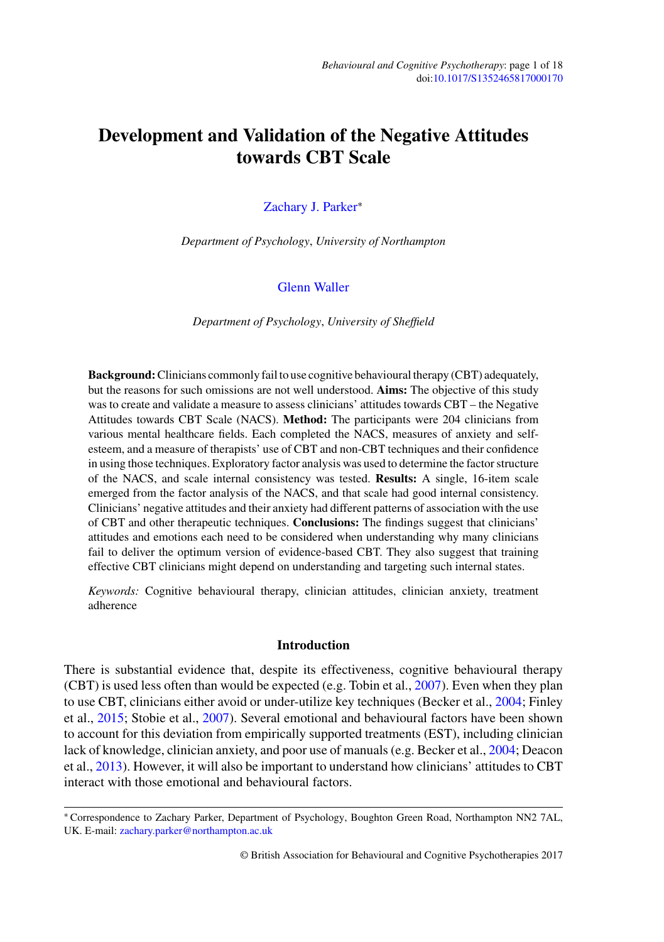# **Development and Validation of the Negative Attitudes towards CBT Scale**

#### [Zachary J. Parker](http://orcid.org/0000-0002-8349-2172)<sup>∗</sup>

*Department of Psychology*, *University of Northampton*

#### [Glenn Waller](http://orcid.org/0000-0001-7794-9546)

*Department of Psychology*, *University of Sheffield*

**Background:**Clinicians commonly fail to use cognitive behavioural therapy (CBT) adequately, but the reasons for such omissions are not well understood. **Aims:** The objective of this study was to create and validate a measure to assess clinicians' attitudes towards CBT – the Negative Attitudes towards CBT Scale (NACS). **Method:** The participants were 204 clinicians from various mental healthcare fields. Each completed the NACS, measures of anxiety and selfesteem, and a measure of therapists' use of CBT and non-CBT techniques and their confidence in using those techniques. Exploratory factor analysis was used to determine the factor structure of the NACS, and scale internal consistency was tested. **Results:** A single, 16-item scale emerged from the factor analysis of the NACS, and that scale had good internal consistency. Clinicians' negative attitudes and their anxiety had different patterns of association with the use of CBT and other therapeutic techniques. **Conclusions:** The findings suggest that clinicians' attitudes and emotions each need to be considered when understanding why many clinicians fail to deliver the optimum version of evidence-based CBT. They also suggest that training effective CBT clinicians might depend on understanding and targeting such internal states.

*Keywords:* Cognitive behavioural therapy, clinician attitudes, clinician anxiety, treatment adherence

#### **Introduction**

There is substantial evidence that, despite its effectiveness, cognitive behavioural therapy (CBT) is used less often than would be expected (e.g. Tobin et al.,  $2007$ ). Even when they plan to use CBT, clinicians either avoid or under-utilize key techniques (Becker et al., 2004; Finley et al., 2015; Stobie et al., 2007). Several emotional and behavioural factors have been shown to account for this deviation from empirically supported treatments (EST), including clinician lack of knowledge, clinician anxiety, and poor use of manuals (e.g. Becker et al., 2004; Deacon et al., 2013). However, it will also be important to understand how clinicians' attitudes to CBT interact with those emotional and behavioural factors.

<sup>∗</sup> Correspondence to Zachary Parker, Department of Psychology, Boughton Green Road, Northampton NN2 7AL, UK. E-mail: [zachary.parker@northampton.ac.uk](mailto:zachary.parker@northampton.ac.uk)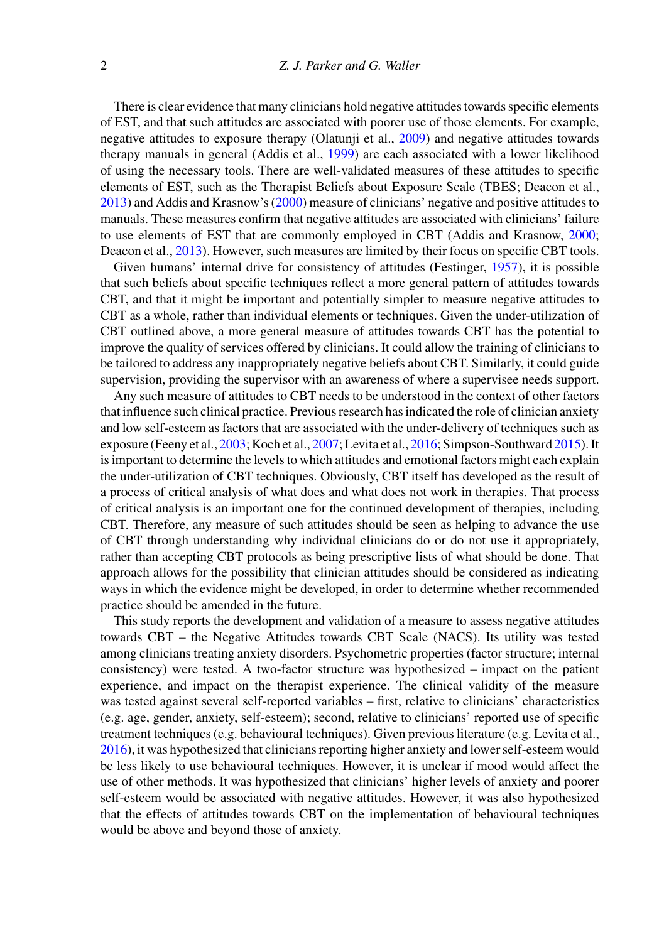There is clear evidence that many clinicians hold negative attitudes towards specific elements of EST, and that such attitudes are associated with poorer use of those elements. For example, negative attitudes to exposure therapy (Olatunji et al., 2009) and negative attitudes towards therapy manuals in general (Addis et al., 1999) are each associated with a lower likelihood of using the necessary tools. There are well-validated measures of these attitudes to specific elements of EST, such as the Therapist Beliefs about Exposure Scale (TBES; Deacon et al., 2013) and Addis and Krasnow's (2000) measure of clinicians' negative and positive attitudes to manuals. These measures confirm that negative attitudes are associated with clinicians' failure to use elements of EST that are commonly employed in CBT (Addis and Krasnow, 2000; Deacon et al., 2013). However, such measures are limited by their focus on specific CBT tools.

Given humans' internal drive for consistency of attitudes (Festinger, 1957), it is possible that such beliefs about specific techniques reflect a more general pattern of attitudes towards CBT, and that it might be important and potentially simpler to measure negative attitudes to CBT as a whole, rather than individual elements or techniques. Given the under-utilization of CBT outlined above, a more general measure of attitudes towards CBT has the potential to improve the quality of services offered by clinicians. It could allow the training of clinicians to be tailored to address any inappropriately negative beliefs about CBT. Similarly, it could guide supervision, providing the supervisor with an awareness of where a supervisee needs support.

Any such measure of attitudes to CBT needs to be understood in the context of other factors that influence such clinical practice. Previous research has indicated the role of clinician anxiety and low self-esteem as factors that are associated with the under-delivery of techniques such as exposure (Feeny et al., 2003; Koch et al., 2007; Levita et al., 2016; Simpson-Southward 2015). It is important to determine the levels to which attitudes and emotional factors might each explain the under-utilization of CBT techniques. Obviously, CBT itself has developed as the result of a process of critical analysis of what does and what does not work in therapies. That process of critical analysis is an important one for the continued development of therapies, including CBT. Therefore, any measure of such attitudes should be seen as helping to advance the use of CBT through understanding why individual clinicians do or do not use it appropriately, rather than accepting CBT protocols as being prescriptive lists of what should be done. That approach allows for the possibility that clinician attitudes should be considered as indicating ways in which the evidence might be developed, in order to determine whether recommended practice should be amended in the future.

This study reports the development and validation of a measure to assess negative attitudes towards CBT – the Negative Attitudes towards CBT Scale (NACS). Its utility was tested among clinicians treating anxiety disorders. Psychometric properties (factor structure; internal consistency) were tested. A two-factor structure was hypothesized – impact on the patient experience, and impact on the therapist experience. The clinical validity of the measure was tested against several self-reported variables – first, relative to clinicians' characteristics (e.g. age, gender, anxiety, self-esteem); second, relative to clinicians' reported use of specific treatment techniques (e.g. behavioural techniques). Given previous literature (e.g. Levita et al., 2016), it was hypothesized that clinicians reporting higher anxiety and lower self-esteem would be less likely to use behavioural techniques. However, it is unclear if mood would affect the use of other methods. It was hypothesized that clinicians' higher levels of anxiety and poorer self-esteem would be associated with negative attitudes. However, it was also hypothesized that the effects of attitudes towards CBT on the implementation of behavioural techniques would be above and beyond those of anxiety.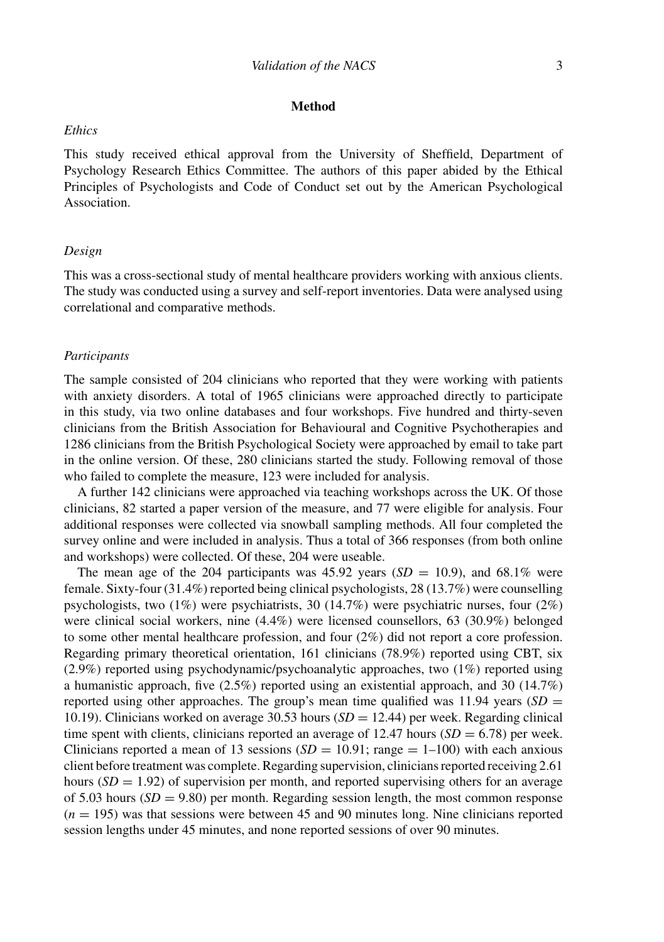#### **Method**

#### *Ethics*

This study received ethical approval from the University of Sheffield, Department of Psychology Research Ethics Committee. The authors of this paper abided by the Ethical Principles of Psychologists and Code of Conduct set out by the American Psychological Association.

#### *Design*

This was a cross-sectional study of mental healthcare providers working with anxious clients. The study was conducted using a survey and self-report inventories. Data were analysed using correlational and comparative methods.

#### *Participants*

The sample consisted of 204 clinicians who reported that they were working with patients with anxiety disorders. A total of 1965 clinicians were approached directly to participate in this study, via two online databases and four workshops. Five hundred and thirty-seven clinicians from the British Association for Behavioural and Cognitive Psychotherapies and 1286 clinicians from the British Psychological Society were approached by email to take part in the online version. Of these, 280 clinicians started the study. Following removal of those who failed to complete the measure, 123 were included for analysis.

A further 142 clinicians were approached via teaching workshops across the UK. Of those clinicians, 82 started a paper version of the measure, and 77 were eligible for analysis. Four additional responses were collected via snowball sampling methods. All four completed the survey online and were included in analysis. Thus a total of 366 responses (from both online and workshops) were collected. Of these, 204 were useable.

The mean age of the 204 participants was  $45.92$  years  $(SD = 10.9)$ , and  $68.1\%$  were female. Sixty-four (31.4%) reported being clinical psychologists, 28 (13.7%) were counselling psychologists, two (1%) were psychiatrists, 30 (14.7%) were psychiatric nurses, four (2%) were clinical social workers, nine (4.4%) were licensed counsellors, 63 (30.9%) belonged to some other mental healthcare profession, and four (2%) did not report a core profession. Regarding primary theoretical orientation, 161 clinicians (78.9%) reported using CBT, six (2.9%) reported using psychodynamic/psychoanalytic approaches, two (1%) reported using a humanistic approach, five  $(2.5%)$  reported using an existential approach, and 30  $(14.7%)$ reported using other approaches. The group's mean time qualified was  $11.94$  years (*SD* = 10.19). Clinicians worked on average  $30.53$  hours  $(SD = 12.44)$  per week. Regarding clinical time spent with clients, clinicians reported an average of 12.47 hours  $(SD = 6.78)$  per week. Clinicians reported a mean of 13 sessions  $(SD = 10.91; \text{range} = 1-100)$  with each anxious client before treatment was complete. Regarding supervision, clinicians reported receiving 2.61 hours  $(SD = 1.92)$  of supervision per month, and reported supervising others for an average of 5.03 hours  $(SD = 9.80)$  per month. Regarding session length, the most common response  $(n = 195)$  was that sessions were between 45 and 90 minutes long. Nine clinicians reported session lengths under 45 minutes, and none reported sessions of over 90 minutes.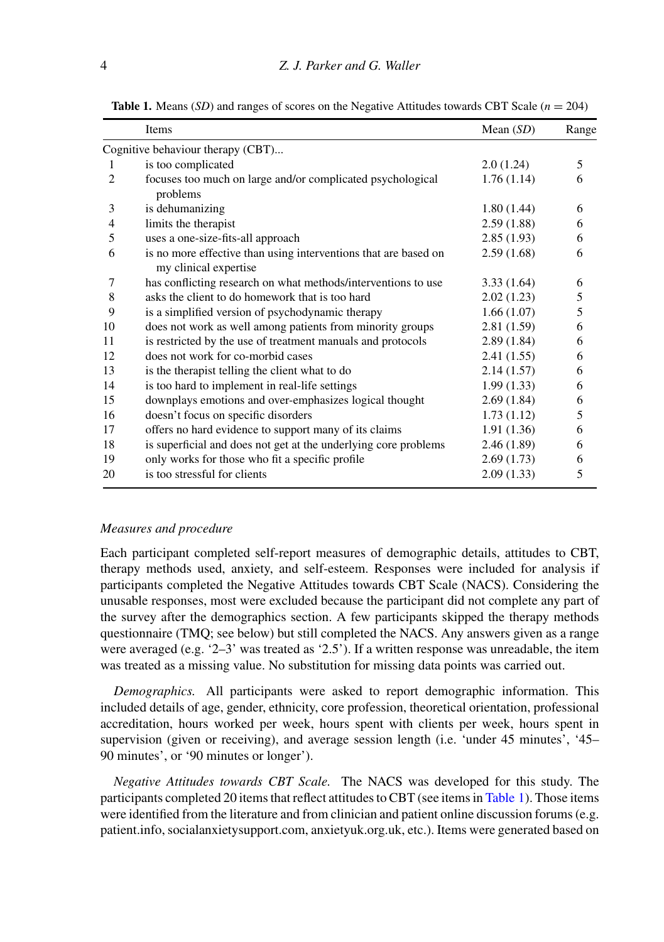|                | Items                                                                                    | Mean $(SD)$ | Range |
|----------------|------------------------------------------------------------------------------------------|-------------|-------|
|                | Cognitive behaviour therapy (CBT)                                                        |             |       |
| 1              | is too complicated                                                                       | 2.0(1.24)   | 5     |
| $\overline{c}$ | focuses too much on large and/or complicated psychological<br>problems                   | 1.76(1.14)  | 6     |
| 3              | is dehumanizing                                                                          | 1.80(1.44)  | 6     |
| 4              | limits the therapist                                                                     | 2.59(1.88)  | 6     |
| 5              | uses a one-size-fits-all approach                                                        | 2.85(1.93)  | 6     |
| 6              | is no more effective than using interventions that are based on<br>my clinical expertise | 2.59(1.68)  | 6     |
| 7              | has conflicting research on what methods/interventions to use                            | 3.33(1.64)  | 6     |
| 8              | asks the client to do homework that is too hard                                          | 2.02(1.23)  | 5     |
| 9              | is a simplified version of psychodynamic therapy                                         | 1.66(1.07)  | 5     |
| 10             | does not work as well among patients from minority groups                                | 2.81(1.59)  | 6     |
| 11             | is restricted by the use of treatment manuals and protocols                              | 2.89(1.84)  | 6     |
| 12             | does not work for co-morbid cases                                                        | 2.41(1.55)  | 6     |
| 13             | is the therapist telling the client what to do                                           | 2.14(1.57)  | 6     |
| 14             | is too hard to implement in real-life settings                                           | 1.99(1.33)  | 6     |
| 15             | downplays emotions and over-emphasizes logical thought                                   | 2.69(1.84)  | 6     |
| 16             | doesn't focus on specific disorders                                                      | 1.73(1.12)  | 5     |
| 17             | offers no hard evidence to support many of its claims                                    | 1.91(1.36)  | 6     |
| 18             | is superficial and does not get at the underlying core problems                          | 2.46(1.89)  | 6     |
| 19             | only works for those who fit a specific profile                                          | 2.69(1.73)  | 6     |
| 20             | is too stressful for clients                                                             | 2.09(1.33)  | 5     |

**Table 1.** Means (*SD*) and ranges of scores on the Negative Attitudes towards CBT Scale ( $n = 204$ )

#### *Measures and procedure*

Each participant completed self-report measures of demographic details, attitudes to CBT, therapy methods used, anxiety, and self-esteem. Responses were included for analysis if participants completed the Negative Attitudes towards CBT Scale (NACS). Considering the unusable responses, most were excluded because the participant did not complete any part of the survey after the demographics section. A few participants skipped the therapy methods questionnaire (TMQ; see below) but still completed the NACS. Any answers given as a range were averaged (e.g. '2–3' was treated as '2.5'). If a written response was unreadable, the item was treated as a missing value. No substitution for missing data points was carried out.

*Demographics.* All participants were asked to report demographic information. This included details of age, gender, ethnicity, core profession, theoretical orientation, professional accreditation, hours worked per week, hours spent with clients per week, hours spent in supervision (given or receiving), and average session length (i.e. 'under 45 minutes', '45– 90 minutes', or '90 minutes or longer').

*Negative Attitudes towards CBT Scale.* The NACS was developed for this study. The participants completed 20 items that reflect attitudes to CBT (see items in Table 1). Those items were identified from the literature and from clinician and patient online discussion forums (e.g. patient.info, socialanxietysupport.com, anxietyuk.org.uk, etc.). Items were generated based on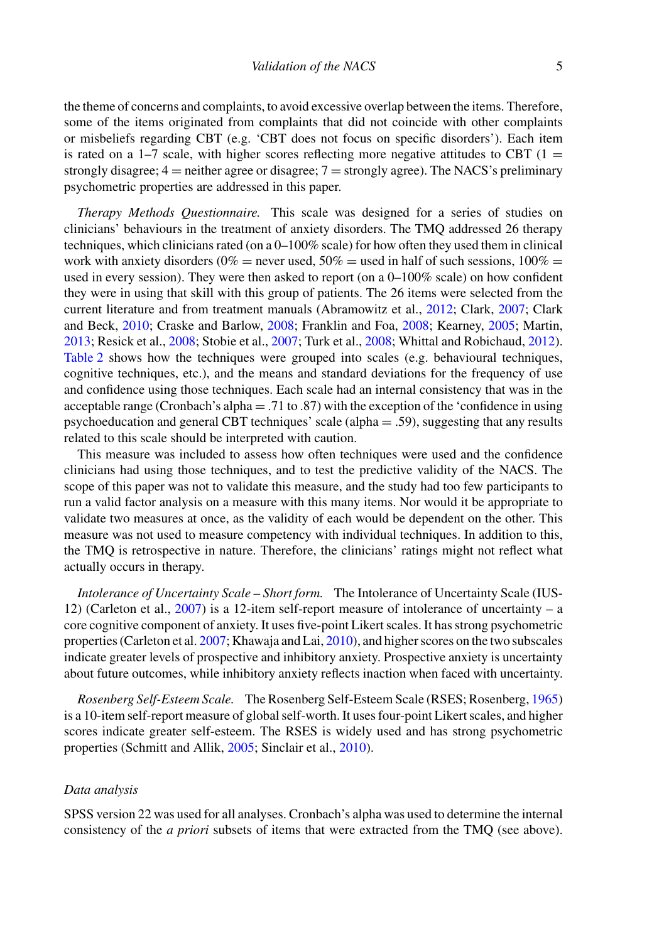the theme of concerns and complaints, to avoid excessive overlap between the items. Therefore, some of the items originated from complaints that did not coincide with other complaints or misbeliefs regarding CBT (e.g. 'CBT does not focus on specific disorders'). Each item is rated on a  $1-7$  scale, with higher scores reflecting more negative attitudes to CBT ( $1 =$ strongly disagree;  $4 =$  neither agree or disagree;  $7 =$  strongly agree). The NACS's preliminary psychometric properties are addressed in this paper.

*Therapy Methods Questionnaire.* This scale was designed for a series of studies on clinicians' behaviours in the treatment of anxiety disorders. The TMQ addressed 26 therapy techniques, which clinicians rated (on a 0–100% scale) for how often they used them in clinical work with anxiety disorders ( $0\%$  = never used,  $50\%$  = used in half of such sessions,  $100\%$  = used in every session). They were then asked to report (on a  $0-100\%$  scale) on how confident they were in using that skill with this group of patients. The 26 items were selected from the current literature and from treatment manuals (Abramowitz et al., 2012; Clark, 2007; Clark and Beck, 2010; Craske and Barlow, 2008; Franklin and Foa, 2008; Kearney, 2005; Martin, 2013; Resick et al., 2008; Stobie et al., 2007; Turk et al., 2008; Whittal and Robichaud, 2012). Table 2 shows how the techniques were grouped into scales (e.g. behavioural techniques, cognitive techniques, etc.), and the means and standard deviations for the frequency of use and confidence using those techniques. Each scale had an internal consistency that was in the acceptable range (Cronbach's alpha = .71 to .87) with the exception of the 'confidence in using psychoeducation and general CBT techniques' scale (alpha = .59), suggesting that any results related to this scale should be interpreted with caution.

This measure was included to assess how often techniques were used and the confidence clinicians had using those techniques, and to test the predictive validity of the NACS. The scope of this paper was not to validate this measure, and the study had too few participants to run a valid factor analysis on a measure with this many items. Nor would it be appropriate to validate two measures at once, as the validity of each would be dependent on the other. This measure was not used to measure competency with individual techniques. In addition to this, the TMQ is retrospective in nature. Therefore, the clinicians' ratings might not reflect what actually occurs in therapy.

*Intolerance of Uncertainty Scale – Short form.* The Intolerance of Uncertainty Scale (IUS-12) (Carleton et al.,  $2007$ ) is a 12-item self-report measure of intolerance of uncertainty – a core cognitive component of anxiety. It uses five-point Likert scales. It has strong psychometric properties (Carleton et al. 2007; Khawaja and Lai, 2010), and higher scores on the two subscales indicate greater levels of prospective and inhibitory anxiety. Prospective anxiety is uncertainty about future outcomes, while inhibitory anxiety reflects inaction when faced with uncertainty.

*Rosenberg Self-Esteem Scale.* The Rosenberg Self-Esteem Scale (RSES; Rosenberg, 1965) is a 10-item self-report measure of global self-worth. It uses four-point Likert scales, and higher scores indicate greater self-esteem. The RSES is widely used and has strong psychometric properties (Schmitt and Allik, 2005; Sinclair et al., 2010).

#### *Data analysis*

SPSS version 22 was used for all analyses. Cronbach's alpha was used to determine the internal consistency of the *a priori* subsets of items that were extracted from the TMQ (see above).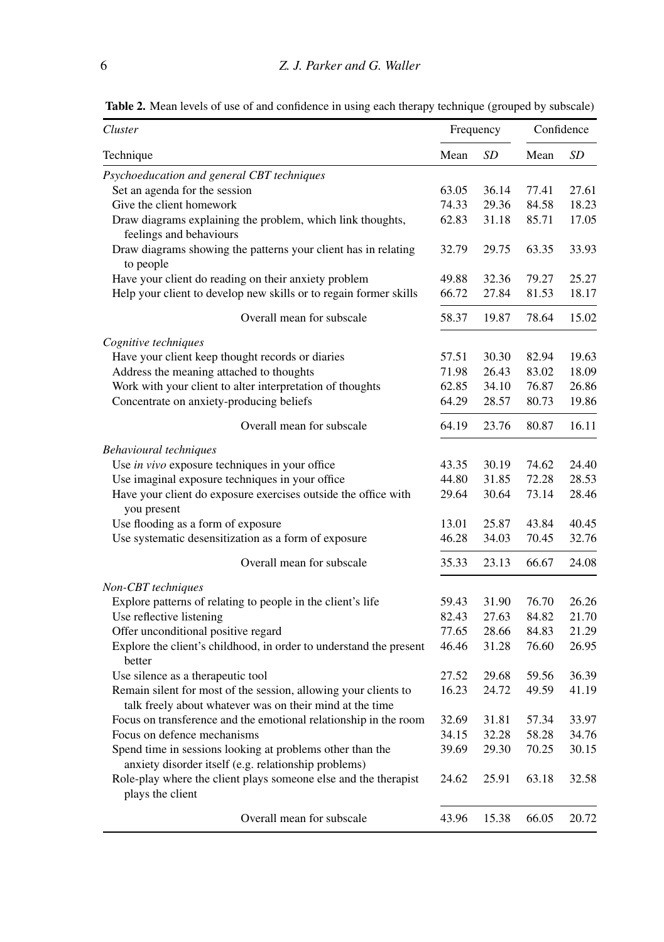**Table 2.** Mean levels of use of and confidence in using each therapy technique (grouped by subscale)

| Cluster                                                                                                           |       | Frequency | Confidence |       |
|-------------------------------------------------------------------------------------------------------------------|-------|-----------|------------|-------|
| Technique                                                                                                         | Mean  | SD        | Mean       | SD    |
| Psychoeducation and general CBT techniques                                                                        |       |           |            |       |
| Set an agenda for the session                                                                                     | 63.05 | 36.14     | 77.41      | 27.61 |
| Give the client homework                                                                                          | 74.33 | 29.36     | 84.58      | 18.23 |
| Draw diagrams explaining the problem, which link thoughts,<br>feelings and behaviours                             | 62.83 | 31.18     | 85.71      | 17.05 |
| Draw diagrams showing the patterns your client has in relating<br>to people                                       | 32.79 | 29.75     | 63.35      | 33.93 |
| Have your client do reading on their anxiety problem                                                              | 49.88 | 32.36     | 79.27      | 25.27 |
| Help your client to develop new skills or to regain former skills                                                 | 66.72 | 27.84     | 81.53      | 18.17 |
| Overall mean for subscale                                                                                         | 58.37 | 19.87     | 78.64      | 15.02 |
| Cognitive techniques                                                                                              |       |           |            |       |
| Have your client keep thought records or diaries                                                                  | 57.51 | 30.30     | 82.94      | 19.63 |
| Address the meaning attached to thoughts                                                                          | 71.98 | 26.43     | 83.02      | 18.09 |
| Work with your client to alter interpretation of thoughts                                                         | 62.85 | 34.10     | 76.87      | 26.86 |
| Concentrate on anxiety-producing beliefs                                                                          | 64.29 | 28.57     | 80.73      | 19.86 |
| Overall mean for subscale                                                                                         | 64.19 | 23.76     | 80.87      | 16.11 |
| <b>Behavioural</b> techniques                                                                                     |       |           |            |       |
| Use in vivo exposure techniques in your office                                                                    | 43.35 | 30.19     | 74.62      | 24.40 |
| Use imaginal exposure techniques in your office                                                                   | 44.80 | 31.85     | 72.28      | 28.53 |
| Have your client do exposure exercises outside the office with<br>you present                                     | 29.64 | 30.64     | 73.14      | 28.46 |
| Use flooding as a form of exposure                                                                                | 13.01 | 25.87     | 43.84      | 40.45 |
| Use systematic desensitization as a form of exposure                                                              | 46.28 | 34.03     | 70.45      | 32.76 |
| Overall mean for subscale                                                                                         | 35.33 | 23.13     | 66.67      | 24.08 |
| Non-CBT techniques                                                                                                |       |           |            |       |
| Explore patterns of relating to people in the client's life                                                       | 59.43 | 31.90     | 76.70      | 26.26 |
| Use reflective listening                                                                                          | 82.43 | 27.63     | 84.82      | 21.70 |
| Offer unconditional positive regard                                                                               | 77.65 | 28.66     | 84.83      | 21.29 |
| Explore the client's childhood, in order to understand the present<br>better                                      | 46.46 | 31.28     | 76.60      | 26.95 |
| Use silence as a therapeutic tool                                                                                 | 27.52 | 29.68     | 59.56      | 36.39 |
| Remain silent for most of the session, allowing your clients to                                                   | 16.23 | 24.72     | 49.59      | 41.19 |
| talk freely about whatever was on their mind at the time                                                          |       |           |            |       |
| Focus on transference and the emotional relationship in the room                                                  | 32.69 | 31.81     | 57.34      | 33.97 |
| Focus on defence mechanisms                                                                                       | 34.15 | 32.28     | 58.28      | 34.76 |
| Spend time in sessions looking at problems other than the<br>anxiety disorder itself (e.g. relationship problems) | 39.69 | 29.30     | 70.25      | 30.15 |
| Role-play where the client plays someone else and the therapist<br>plays the client                               | 24.62 | 25.91     | 63.18      | 32.58 |
| Overall mean for subscale                                                                                         | 43.96 | 15.38     | 66.05      | 20.72 |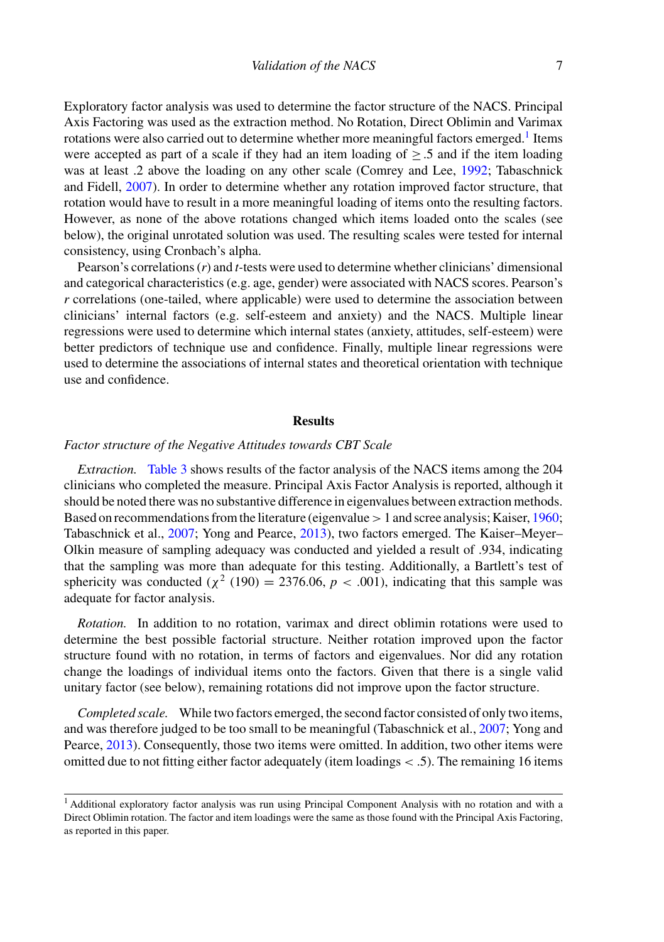Exploratory factor analysis was used to determine the factor structure of the NACS. Principal Axis Factoring was used as the extraction method. No Rotation, Direct Oblimin and Varimax rotations were also carried out to determine whether more meaningful factors emerged.<sup>1</sup> Items were accepted as part of a scale if they had an item loading of  $\geq$  5 and if the item loading was at least .2 above the loading on any other scale (Comrey and Lee, 1992; Tabaschnick and Fidell, 2007). In order to determine whether any rotation improved factor structure, that rotation would have to result in a more meaningful loading of items onto the resulting factors. However, as none of the above rotations changed which items loaded onto the scales (see below), the original unrotated solution was used. The resulting scales were tested for internal consistency, using Cronbach's alpha.

Pearson's correlations (*r*) and *t-*tests were used to determine whether clinicians' dimensional and categorical characteristics (e.g. age, gender) were associated with NACS scores. Pearson's *r* correlations (one-tailed, where applicable) were used to determine the association between clinicians' internal factors (e.g. self-esteem and anxiety) and the NACS. Multiple linear regressions were used to determine which internal states (anxiety, attitudes, self-esteem) were better predictors of technique use and confidence. Finally, multiple linear regressions were used to determine the associations of internal states and theoretical orientation with technique use and confidence.

#### **Results**

#### *Factor structure of the Negative Attitudes towards CBT Scale*

*Extraction.* Table 3 shows results of the factor analysis of the NACS items among the 204 clinicians who completed the measure. Principal Axis Factor Analysis is reported, although it should be noted there was no substantive difference in eigenvalues between extraction methods. Based on recommendations from the literature (eigenvalue  $>1$  and scree analysis; Kaiser, 1960; Tabaschnick et al., 2007; Yong and Pearce, 2013), two factors emerged. The Kaiser–Meyer– Olkin measure of sampling adequacy was conducted and yielded a result of .934, indicating that the sampling was more than adequate for this testing. Additionally, a Bartlett's test of sphericity was conducted ( $\chi^2$  (190) = 2376.06, *p* < .001), indicating that this sample was adequate for factor analysis.

*Rotation.* In addition to no rotation, varimax and direct oblimin rotations were used to determine the best possible factorial structure. Neither rotation improved upon the factor structure found with no rotation, in terms of factors and eigenvalues. Nor did any rotation change the loadings of individual items onto the factors. Given that there is a single valid unitary factor (see below), remaining rotations did not improve upon the factor structure.

*Completed scale.* While two factors emerged, the second factor consisted of only two items, and was therefore judged to be too small to be meaningful (Tabaschnick et al., 2007; Yong and Pearce, 2013). Consequently, those two items were omitted. In addition, two other items were omitted due to not fitting either factor adequately (item loadings < .5). The remaining 16 items

<sup>&</sup>lt;sup>1</sup> Additional exploratory factor analysis was run using Principal Component Analysis with no rotation and with a Direct Oblimin rotation. The factor and item loadings were the same as those found with the Principal Axis Factoring, as reported in this paper.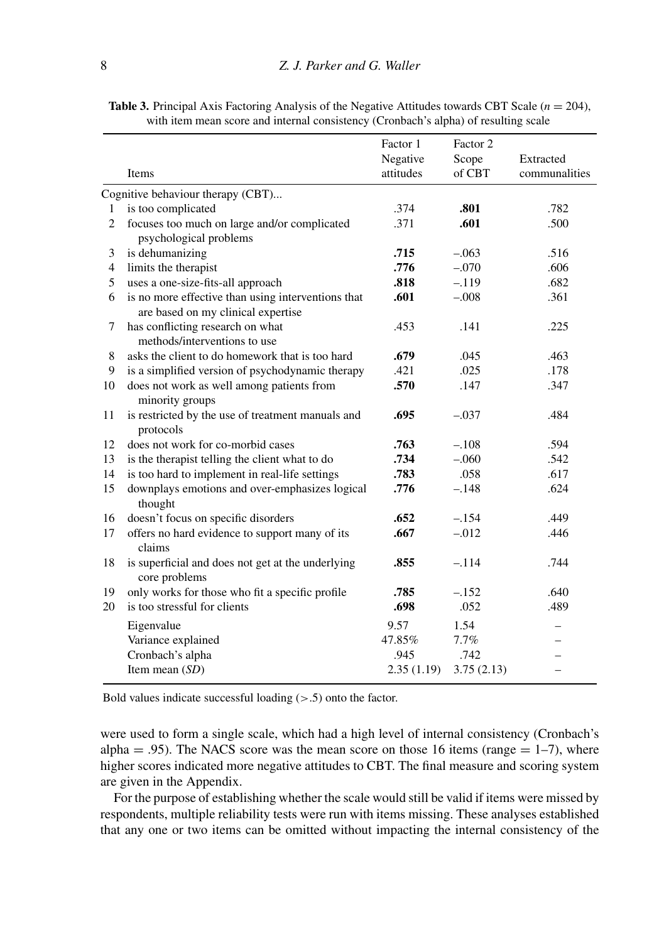|                | Items                                                                                    | Factor 1<br>Negative<br>attitudes | Factor 2<br>Scope<br>of CBT | Extracted<br>communalities |
|----------------|------------------------------------------------------------------------------------------|-----------------------------------|-----------------------------|----------------------------|
|                | Cognitive behaviour therapy (CBT)                                                        |                                   |                             |                            |
| 1              | is too complicated                                                                       | .374                              | .801                        | .782                       |
| $\overline{c}$ | focuses too much on large and/or complicated<br>psychological problems                   | .371                              | .601                        | .500                       |
| 3              | is dehumanizing                                                                          | .715                              | $-.063$                     | .516                       |
| $\overline{4}$ | limits the therapist                                                                     | .776                              | $-.070$                     | .606                       |
| 5              | uses a one-size-fits-all approach                                                        | .818                              | $-.119$                     | .682                       |
| 6              | is no more effective than using interventions that<br>are based on my clinical expertise | .601                              | $-.008$                     | .361                       |
| 7              | has conflicting research on what<br>methods/interventions to use                         | .453                              | .141                        | .225                       |
| 8              | asks the client to do homework that is too hard                                          | .679                              | .045                        | .463                       |
| 9              | is a simplified version of psychodynamic therapy                                         | .421                              | .025                        | .178                       |
| 10             | does not work as well among patients from<br>minority groups                             | .570                              | .147                        | .347                       |
| 11             | is restricted by the use of treatment manuals and<br>protocols                           | .695                              | $-.037$                     | .484                       |
| 12             | does not work for co-morbid cases                                                        | .763                              | $-.108$                     | .594                       |
| 13             | is the therapist telling the client what to do                                           | .734                              | $-.060$                     | .542                       |
| 14             | is too hard to implement in real-life settings                                           | .783                              | .058                        | .617                       |
| 15             | downplays emotions and over-emphasizes logical<br>thought                                | .776                              | $-.148$                     | .624                       |
| 16             | doesn't focus on specific disorders                                                      | .652                              | $-.154$                     | .449                       |
| 17             | offers no hard evidence to support many of its<br>claims                                 | .667                              | $-.012$                     | .446                       |
| 18             | is superficial and does not get at the underlying<br>core problems                       | .855                              | $-.114$                     | .744                       |
| 19             | only works for those who fit a specific profile                                          | .785                              | $-.152$                     | .640                       |

**Table 3.** Principal Axis Factoring Analysis of the Negative Attitudes towards CBT Scale  $(n = 204)$ , with item mean score and internal consistency (Cronbach's alpha) of resulting scale

Bold values indicate successful loading  $(> .5)$  onto the factor.

were used to form a single scale, which had a high level of internal consistency (Cronbach's alpha = .95). The NACS score was the mean score on those 16 items (range  $= 1-7$ ), where higher scores indicated more negative attitudes to CBT. The final measure and scoring system are given in the Appendix.

20 is too stressful for clients **.698** .052 .489 Eigenvalue 9.57 1.54 –

Item mean (*SD*) 2.35 (1.19) 3.75 (2.13) –

Variance explained  $47.85\%$  7.7% Cronbach's alpha .945 .742

For the purpose of establishing whether the scale would still be valid if items were missed by respondents, multiple reliability tests were run with items missing. These analyses established that any one or two items can be omitted without impacting the internal consistency of the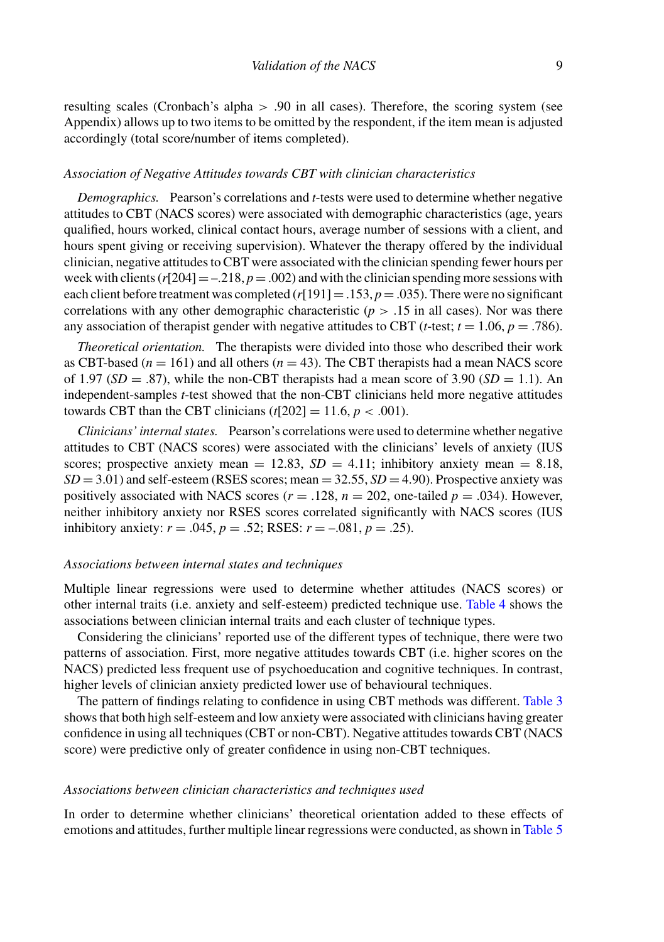resulting scales (Cronbach's alpha > .90 in all cases). Therefore, the scoring system (see Appendix) allows up to two items to be omitted by the respondent, if the item mean is adjusted accordingly (total score/number of items completed).

#### *Association of Negative Attitudes towards CBT with clinician characteristics*

*Demographics.* Pearson's correlations and *t*-tests were used to determine whether negative attitudes to CBT (NACS scores) were associated with demographic characteristics (age, years qualified, hours worked, clinical contact hours, average number of sessions with a client, and hours spent giving or receiving supervision). Whatever the therapy offered by the individual clinician, negative attitudes to CBT were associated with the clinician spending fewer hours per week with clients  $(r[204] = -.218, p = .002)$  and with the clinician spending more sessions with each client before treatment was completed  $(r[191] = .153, p = .035)$ . There were no significant correlations with any other demographic characteristic ( $p > .15$  in all cases). Nor was there any association of therapist gender with negative attitudes to CBT (*t*-test;  $t = 1.06$ ,  $p = .786$ ).

*Theoretical orientation.* The therapists were divided into those who described their work as CBT-based  $(n = 161)$  and all others  $(n = 43)$ . The CBT therapists had a mean NACS score of 1.97 ( $SD = .87$ ), while the non-CBT therapists had a mean score of 3.90 ( $SD = 1.1$ ). An independent-samples *t*-test showed that the non-CBT clinicians held more negative attitudes towards CBT than the CBT clinicians  $(t[202] = 11.6, p < .001)$ .

*Clinicians' internal states.* Pearson's correlations were used to determine whether negative attitudes to CBT (NACS scores) were associated with the clinicians' levels of anxiety (IUS scores; prospective anxiety mean = 12.83,  $SD = 4.11$ ; inhibitory anxiety mean = 8.18,  $SD = 3.01$ ) and self-esteem (RSES scores; mean  $= 32.55$ ,  $SD = 4.90$ ). Prospective anxiety was positively associated with NACS scores ( $r = .128$ ,  $n = 202$ , one-tailed  $p = .034$ ). However, neither inhibitory anxiety nor RSES scores correlated significantly with NACS scores (IUS inhibitory anxiety:  $r = .045$ ,  $p = .52$ ; RSES:  $r = -.081$ ,  $p = .25$ ).

#### *Associations between internal states and techniques*

Multiple linear regressions were used to determine whether attitudes (NACS scores) or other internal traits (i.e. anxiety and self-esteem) predicted technique use. Table 4 shows the associations between clinician internal traits and each cluster of technique types.

Considering the clinicians' reported use of the different types of technique, there were two patterns of association. First, more negative attitudes towards CBT (i.e. higher scores on the NACS) predicted less frequent use of psychoeducation and cognitive techniques. In contrast, higher levels of clinician anxiety predicted lower use of behavioural techniques.

The pattern of findings relating to confidence in using CBT methods was different. Table 3 shows that both high self-esteem and low anxiety were associated with clinicians having greater confidence in using all techniques (CBT or non-CBT). Negative attitudes towards CBT (NACS score) were predictive only of greater confidence in using non-CBT techniques.

#### *Associations between clinician characteristics and techniques used*

In order to determine whether clinicians' theoretical orientation added to these effects of emotions and attitudes, further multiple linear regressions were conducted, as shown in Table 5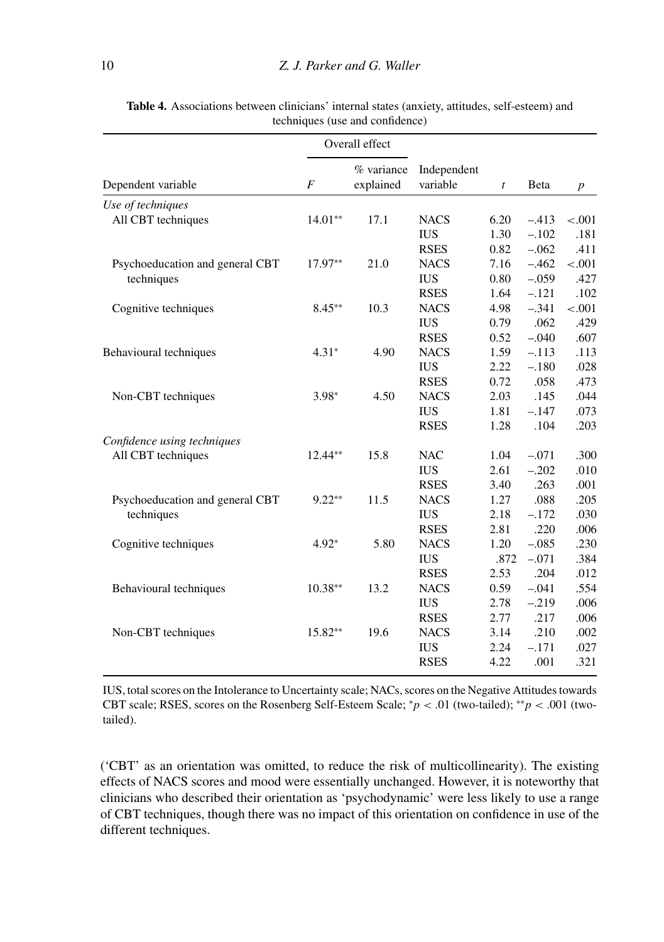|                                 |                | Overall effect          |                         |                  |              |                  |
|---------------------------------|----------------|-------------------------|-------------------------|------------------|--------------|------------------|
| Dependent variable              | $\overline{F}$ | % variance<br>explained | Independent<br>variable | $\boldsymbol{t}$ | <b>B</b> eta | $\boldsymbol{p}$ |
| Use of techniques               |                |                         |                         |                  |              |                  |
| All CBT techniques              | $14.01**$      | 17.1                    | <b>NACS</b>             | 6.20             | $-.413$      | $-.001$          |
|                                 |                |                         | <b>IUS</b>              | 1.30             | $-.102$      | .181             |
|                                 |                |                         | <b>RSES</b>             | 0.82             | $-.062$      | .411             |
| Psychoeducation and general CBT | 17.97**        | 21.0                    | <b>NACS</b>             | 7.16             | $-.462$      | $-.001$          |
| techniques                      |                |                         | <b>IUS</b>              | 0.80             | $-.059$      | .427             |
|                                 |                |                         | <b>RSES</b>             | 1.64             | $-.121$      | .102             |
| Cognitive techniques            | $8.45**$       | 10.3                    | <b>NACS</b>             | 4.98             | $-.341$      | $-.001$          |
|                                 |                |                         | <b>IUS</b>              | 0.79             | .062         | .429             |
|                                 |                |                         | <b>RSES</b>             | 0.52             | $-.040$      | .607             |
| Behavioural techniques          | $4.31*$        | 4.90                    | <b>NACS</b>             | 1.59             | $-.113$      | .113             |
|                                 |                |                         | <b>IUS</b>              | 2.22             | $-.180$      | .028             |
|                                 |                |                         | <b>RSES</b>             | 0.72             | .058         | .473             |
| Non-CBT techniques              | $3.98*$        | 4.50                    | <b>NACS</b>             | 2.03             | .145         | .044             |
|                                 |                |                         | <b>IUS</b>              | 1.81             | $-.147$      | .073             |
|                                 |                |                         | <b>RSES</b>             | 1.28             | .104         | .203             |
| Confidence using techniques     |                |                         |                         |                  |              |                  |
| All CBT techniques              | $12.44**$      | 15.8                    | <b>NAC</b>              | 1.04             | $-.071$      | .300             |
|                                 |                |                         | <b>IUS</b>              | 2.61             | $-.202$      | .010             |
|                                 |                |                         | <b>RSES</b>             | 3.40             | .263         | .001             |
| Psychoeducation and general CBT | $9.22**$       | 11.5                    | <b>NACS</b>             | 1.27             | .088         | .205             |
| techniques                      |                |                         | <b>IUS</b>              | 2.18             | $-.172$      | .030             |
|                                 |                |                         | <b>RSES</b>             | 2.81             | .220         | .006             |
| Cognitive techniques            | $4.92*$        | 5.80                    | <b>NACS</b>             | 1.20             | $-.085$      | .230             |
|                                 |                |                         | <b>IUS</b>              | .872             | $-.071$      | .384             |
|                                 |                |                         | <b>RSES</b>             | 2.53             | .204         | .012             |
| Behavioural techniques          | $10.38**$      | 13.2                    | <b>NACS</b>             | 0.59             | $-.041$      | .554             |
|                                 |                |                         | <b>IUS</b>              | 2.78             | $-.219$      | .006             |
|                                 |                |                         | <b>RSES</b>             | 2.77             | .217         | .006             |
| Non-CBT techniques              | $15.82**$      | 19.6                    | <b>NACS</b>             | 3.14             | .210         | .002             |
|                                 |                |                         | <b>IUS</b>              | 2.24             | $-.171$      | .027             |
|                                 |                |                         | <b>RSES</b>             | 4.22             | .001         | .321             |
|                                 |                |                         |                         |                  |              |                  |

**Table 4.** Associations between clinicians' internal states (anxiety, attitudes, self-esteem) and techniques (use and confidence)

IUS, total scores on the Intolerance to Uncertainty scale; NACs, scores on the Negative Attitudes towards CBT scale; RSES, scores on the Rosenberg Self-Esteem Scale; <sup>∗</sup>*p* < .01 (two-tailed); ∗∗*p* < .001 (twotailed).

('CBT' as an orientation was omitted, to reduce the risk of multicollinearity). The existing effects of NACS scores and mood were essentially unchanged. However, it is noteworthy that clinicians who described their orientation as 'psychodynamic' were less likely to use a range of CBT techniques, though there was no impact of this orientation on confidence in use of the different techniques.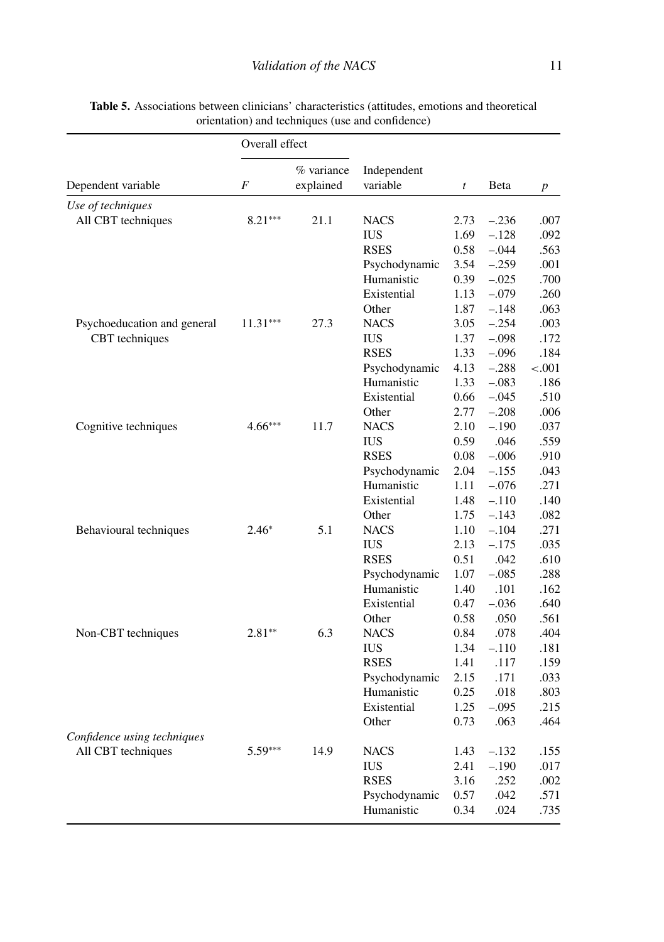| % variance<br>Independent<br>F<br>explained<br>variable<br>Beta<br>t<br>$\boldsymbol{p}$<br>$8.21***$<br>All CBT techniques<br>21.1<br><b>NACS</b><br>2.73<br>$-.236$<br>.007<br>$-.128$<br>.092<br><b>IUS</b><br>1.69<br><b>RSES</b><br>0.58<br>$-.044$<br>.563<br>$-.259$<br>Psychodynamic<br>3.54<br>.001<br>Humanistic<br>0.39<br>$-.025$<br>.700<br>$-.079$<br>.260<br>Existential<br>1.13<br>1.87<br>$-.148$<br>.063<br>Other<br>3.05<br>$-.254$<br>Psychoeducation and general<br>$11.31***$<br>27.3<br><b>NACS</b><br>.003<br><b>CBT</b> techniques<br><b>IUS</b><br>1.37<br>$-.098$<br>.172<br><b>RSES</b><br>1.33<br>$-.096$<br>.184<br>Psychodynamic<br>4.13<br>$-.288$<br>${-.001}$<br>Humanistic<br>1.33<br>$-.083$<br>.186<br>Existential<br>0.66<br>$-.045$<br>.510<br>2.77<br>$-.208$<br>.006<br>Other<br>$4.66***$<br>Cognitive techniques<br>11.7<br><b>NACS</b><br>2.10<br>$-.190$<br>.037<br><b>IUS</b><br>0.59<br>.046<br>.559<br><b>RSES</b><br>$-.006$<br>0.08<br>.910<br>Psychodynamic<br>2.04<br>$-.155$<br>.043<br>Humanistic<br>1.11<br>$-.076$<br>.271<br>Existential<br>1.48<br>$-.110$<br>.140<br>1.75<br>.082<br>Other<br>$-.143$<br>5.1<br>Behavioural techniques<br><b>NACS</b><br>1.10<br>$-.104$<br>.271<br>$2.46*$<br><b>IUS</b><br>2.13<br>$-.175$<br>.035<br><b>RSES</b><br>0.51<br>.042<br>.610<br>Psychodynamic<br>1.07<br>$-.085$<br>.288<br>Humanistic<br>1.40<br>.101<br>.162<br>Existential<br>0.47<br>$-.036$<br>.640<br>0.58<br>.050<br>.561<br>Other<br>6.3<br>Non-CBT techniques<br>$2.81**$<br>0.84<br>.078<br>.404<br><b>NACS</b><br>1.34<br><b>IUS</b><br>$-.110$<br>.181<br><b>RSES</b><br>1.41<br>.117<br>.159<br>2.15<br>.171<br>Psychodynamic<br>.033<br>Humanistic<br>0.25<br>.803<br>.018<br>1.25<br>$-.095$<br>.215<br>Existential<br>0.73<br>.063<br>.464<br>Other<br>Confidence using techniques<br>All CBT techniques<br>$5.59***$<br>14.9<br><b>NACS</b><br>1.43<br>$-.132$<br>.155<br><b>IUS</b><br>2.41<br>$-.190$<br>.017<br><b>RSES</b><br>.252<br>3.16<br>.002 |                    | Overall effect |  |               |      |      |      |  |
|-----------------------------------------------------------------------------------------------------------------------------------------------------------------------------------------------------------------------------------------------------------------------------------------------------------------------------------------------------------------------------------------------------------------------------------------------------------------------------------------------------------------------------------------------------------------------------------------------------------------------------------------------------------------------------------------------------------------------------------------------------------------------------------------------------------------------------------------------------------------------------------------------------------------------------------------------------------------------------------------------------------------------------------------------------------------------------------------------------------------------------------------------------------------------------------------------------------------------------------------------------------------------------------------------------------------------------------------------------------------------------------------------------------------------------------------------------------------------------------------------------------------------------------------------------------------------------------------------------------------------------------------------------------------------------------------------------------------------------------------------------------------------------------------------------------------------------------------------------------------------------------------------------------------------------------------------------------------------------------------------------------------------------------|--------------------|----------------|--|---------------|------|------|------|--|
|                                                                                                                                                                                                                                                                                                                                                                                                                                                                                                                                                                                                                                                                                                                                                                                                                                                                                                                                                                                                                                                                                                                                                                                                                                                                                                                                                                                                                                                                                                                                                                                                                                                                                                                                                                                                                                                                                                                                                                                                                                   | Dependent variable |                |  |               |      |      |      |  |
|                                                                                                                                                                                                                                                                                                                                                                                                                                                                                                                                                                                                                                                                                                                                                                                                                                                                                                                                                                                                                                                                                                                                                                                                                                                                                                                                                                                                                                                                                                                                                                                                                                                                                                                                                                                                                                                                                                                                                                                                                                   | Use of techniques  |                |  |               |      |      |      |  |
|                                                                                                                                                                                                                                                                                                                                                                                                                                                                                                                                                                                                                                                                                                                                                                                                                                                                                                                                                                                                                                                                                                                                                                                                                                                                                                                                                                                                                                                                                                                                                                                                                                                                                                                                                                                                                                                                                                                                                                                                                                   |                    |                |  |               |      |      |      |  |
|                                                                                                                                                                                                                                                                                                                                                                                                                                                                                                                                                                                                                                                                                                                                                                                                                                                                                                                                                                                                                                                                                                                                                                                                                                                                                                                                                                                                                                                                                                                                                                                                                                                                                                                                                                                                                                                                                                                                                                                                                                   |                    |                |  |               |      |      |      |  |
|                                                                                                                                                                                                                                                                                                                                                                                                                                                                                                                                                                                                                                                                                                                                                                                                                                                                                                                                                                                                                                                                                                                                                                                                                                                                                                                                                                                                                                                                                                                                                                                                                                                                                                                                                                                                                                                                                                                                                                                                                                   |                    |                |  |               |      |      |      |  |
|                                                                                                                                                                                                                                                                                                                                                                                                                                                                                                                                                                                                                                                                                                                                                                                                                                                                                                                                                                                                                                                                                                                                                                                                                                                                                                                                                                                                                                                                                                                                                                                                                                                                                                                                                                                                                                                                                                                                                                                                                                   |                    |                |  |               |      |      |      |  |
|                                                                                                                                                                                                                                                                                                                                                                                                                                                                                                                                                                                                                                                                                                                                                                                                                                                                                                                                                                                                                                                                                                                                                                                                                                                                                                                                                                                                                                                                                                                                                                                                                                                                                                                                                                                                                                                                                                                                                                                                                                   |                    |                |  |               |      |      |      |  |
|                                                                                                                                                                                                                                                                                                                                                                                                                                                                                                                                                                                                                                                                                                                                                                                                                                                                                                                                                                                                                                                                                                                                                                                                                                                                                                                                                                                                                                                                                                                                                                                                                                                                                                                                                                                                                                                                                                                                                                                                                                   |                    |                |  |               |      |      |      |  |
|                                                                                                                                                                                                                                                                                                                                                                                                                                                                                                                                                                                                                                                                                                                                                                                                                                                                                                                                                                                                                                                                                                                                                                                                                                                                                                                                                                                                                                                                                                                                                                                                                                                                                                                                                                                                                                                                                                                                                                                                                                   |                    |                |  |               |      |      |      |  |
|                                                                                                                                                                                                                                                                                                                                                                                                                                                                                                                                                                                                                                                                                                                                                                                                                                                                                                                                                                                                                                                                                                                                                                                                                                                                                                                                                                                                                                                                                                                                                                                                                                                                                                                                                                                                                                                                                                                                                                                                                                   |                    |                |  |               |      |      |      |  |
|                                                                                                                                                                                                                                                                                                                                                                                                                                                                                                                                                                                                                                                                                                                                                                                                                                                                                                                                                                                                                                                                                                                                                                                                                                                                                                                                                                                                                                                                                                                                                                                                                                                                                                                                                                                                                                                                                                                                                                                                                                   |                    |                |  |               |      |      |      |  |
|                                                                                                                                                                                                                                                                                                                                                                                                                                                                                                                                                                                                                                                                                                                                                                                                                                                                                                                                                                                                                                                                                                                                                                                                                                                                                                                                                                                                                                                                                                                                                                                                                                                                                                                                                                                                                                                                                                                                                                                                                                   |                    |                |  |               |      |      |      |  |
|                                                                                                                                                                                                                                                                                                                                                                                                                                                                                                                                                                                                                                                                                                                                                                                                                                                                                                                                                                                                                                                                                                                                                                                                                                                                                                                                                                                                                                                                                                                                                                                                                                                                                                                                                                                                                                                                                                                                                                                                                                   |                    |                |  |               |      |      |      |  |
|                                                                                                                                                                                                                                                                                                                                                                                                                                                                                                                                                                                                                                                                                                                                                                                                                                                                                                                                                                                                                                                                                                                                                                                                                                                                                                                                                                                                                                                                                                                                                                                                                                                                                                                                                                                                                                                                                                                                                                                                                                   |                    |                |  |               |      |      |      |  |
|                                                                                                                                                                                                                                                                                                                                                                                                                                                                                                                                                                                                                                                                                                                                                                                                                                                                                                                                                                                                                                                                                                                                                                                                                                                                                                                                                                                                                                                                                                                                                                                                                                                                                                                                                                                                                                                                                                                                                                                                                                   |                    |                |  |               |      |      |      |  |
|                                                                                                                                                                                                                                                                                                                                                                                                                                                                                                                                                                                                                                                                                                                                                                                                                                                                                                                                                                                                                                                                                                                                                                                                                                                                                                                                                                                                                                                                                                                                                                                                                                                                                                                                                                                                                                                                                                                                                                                                                                   |                    |                |  |               |      |      |      |  |
|                                                                                                                                                                                                                                                                                                                                                                                                                                                                                                                                                                                                                                                                                                                                                                                                                                                                                                                                                                                                                                                                                                                                                                                                                                                                                                                                                                                                                                                                                                                                                                                                                                                                                                                                                                                                                                                                                                                                                                                                                                   |                    |                |  |               |      |      |      |  |
|                                                                                                                                                                                                                                                                                                                                                                                                                                                                                                                                                                                                                                                                                                                                                                                                                                                                                                                                                                                                                                                                                                                                                                                                                                                                                                                                                                                                                                                                                                                                                                                                                                                                                                                                                                                                                                                                                                                                                                                                                                   |                    |                |  |               |      |      |      |  |
|                                                                                                                                                                                                                                                                                                                                                                                                                                                                                                                                                                                                                                                                                                                                                                                                                                                                                                                                                                                                                                                                                                                                                                                                                                                                                                                                                                                                                                                                                                                                                                                                                                                                                                                                                                                                                                                                                                                                                                                                                                   |                    |                |  |               |      |      |      |  |
|                                                                                                                                                                                                                                                                                                                                                                                                                                                                                                                                                                                                                                                                                                                                                                                                                                                                                                                                                                                                                                                                                                                                                                                                                                                                                                                                                                                                                                                                                                                                                                                                                                                                                                                                                                                                                                                                                                                                                                                                                                   |                    |                |  |               |      |      |      |  |
|                                                                                                                                                                                                                                                                                                                                                                                                                                                                                                                                                                                                                                                                                                                                                                                                                                                                                                                                                                                                                                                                                                                                                                                                                                                                                                                                                                                                                                                                                                                                                                                                                                                                                                                                                                                                                                                                                                                                                                                                                                   |                    |                |  |               |      |      |      |  |
|                                                                                                                                                                                                                                                                                                                                                                                                                                                                                                                                                                                                                                                                                                                                                                                                                                                                                                                                                                                                                                                                                                                                                                                                                                                                                                                                                                                                                                                                                                                                                                                                                                                                                                                                                                                                                                                                                                                                                                                                                                   |                    |                |  |               |      |      |      |  |
|                                                                                                                                                                                                                                                                                                                                                                                                                                                                                                                                                                                                                                                                                                                                                                                                                                                                                                                                                                                                                                                                                                                                                                                                                                                                                                                                                                                                                                                                                                                                                                                                                                                                                                                                                                                                                                                                                                                                                                                                                                   |                    |                |  |               |      |      |      |  |
|                                                                                                                                                                                                                                                                                                                                                                                                                                                                                                                                                                                                                                                                                                                                                                                                                                                                                                                                                                                                                                                                                                                                                                                                                                                                                                                                                                                                                                                                                                                                                                                                                                                                                                                                                                                                                                                                                                                                                                                                                                   |                    |                |  |               |      |      |      |  |
|                                                                                                                                                                                                                                                                                                                                                                                                                                                                                                                                                                                                                                                                                                                                                                                                                                                                                                                                                                                                                                                                                                                                                                                                                                                                                                                                                                                                                                                                                                                                                                                                                                                                                                                                                                                                                                                                                                                                                                                                                                   |                    |                |  |               |      |      |      |  |
|                                                                                                                                                                                                                                                                                                                                                                                                                                                                                                                                                                                                                                                                                                                                                                                                                                                                                                                                                                                                                                                                                                                                                                                                                                                                                                                                                                                                                                                                                                                                                                                                                                                                                                                                                                                                                                                                                                                                                                                                                                   |                    |                |  |               |      |      |      |  |
|                                                                                                                                                                                                                                                                                                                                                                                                                                                                                                                                                                                                                                                                                                                                                                                                                                                                                                                                                                                                                                                                                                                                                                                                                                                                                                                                                                                                                                                                                                                                                                                                                                                                                                                                                                                                                                                                                                                                                                                                                                   |                    |                |  |               |      |      |      |  |
|                                                                                                                                                                                                                                                                                                                                                                                                                                                                                                                                                                                                                                                                                                                                                                                                                                                                                                                                                                                                                                                                                                                                                                                                                                                                                                                                                                                                                                                                                                                                                                                                                                                                                                                                                                                                                                                                                                                                                                                                                                   |                    |                |  |               |      |      |      |  |
|                                                                                                                                                                                                                                                                                                                                                                                                                                                                                                                                                                                                                                                                                                                                                                                                                                                                                                                                                                                                                                                                                                                                                                                                                                                                                                                                                                                                                                                                                                                                                                                                                                                                                                                                                                                                                                                                                                                                                                                                                                   |                    |                |  |               |      |      |      |  |
|                                                                                                                                                                                                                                                                                                                                                                                                                                                                                                                                                                                                                                                                                                                                                                                                                                                                                                                                                                                                                                                                                                                                                                                                                                                                                                                                                                                                                                                                                                                                                                                                                                                                                                                                                                                                                                                                                                                                                                                                                                   |                    |                |  |               |      |      |      |  |
|                                                                                                                                                                                                                                                                                                                                                                                                                                                                                                                                                                                                                                                                                                                                                                                                                                                                                                                                                                                                                                                                                                                                                                                                                                                                                                                                                                                                                                                                                                                                                                                                                                                                                                                                                                                                                                                                                                                                                                                                                                   |                    |                |  |               |      |      |      |  |
|                                                                                                                                                                                                                                                                                                                                                                                                                                                                                                                                                                                                                                                                                                                                                                                                                                                                                                                                                                                                                                                                                                                                                                                                                                                                                                                                                                                                                                                                                                                                                                                                                                                                                                                                                                                                                                                                                                                                                                                                                                   |                    |                |  |               |      |      |      |  |
|                                                                                                                                                                                                                                                                                                                                                                                                                                                                                                                                                                                                                                                                                                                                                                                                                                                                                                                                                                                                                                                                                                                                                                                                                                                                                                                                                                                                                                                                                                                                                                                                                                                                                                                                                                                                                                                                                                                                                                                                                                   |                    |                |  |               |      |      |      |  |
|                                                                                                                                                                                                                                                                                                                                                                                                                                                                                                                                                                                                                                                                                                                                                                                                                                                                                                                                                                                                                                                                                                                                                                                                                                                                                                                                                                                                                                                                                                                                                                                                                                                                                                                                                                                                                                                                                                                                                                                                                                   |                    |                |  |               |      |      |      |  |
|                                                                                                                                                                                                                                                                                                                                                                                                                                                                                                                                                                                                                                                                                                                                                                                                                                                                                                                                                                                                                                                                                                                                                                                                                                                                                                                                                                                                                                                                                                                                                                                                                                                                                                                                                                                                                                                                                                                                                                                                                                   |                    |                |  |               |      |      |      |  |
|                                                                                                                                                                                                                                                                                                                                                                                                                                                                                                                                                                                                                                                                                                                                                                                                                                                                                                                                                                                                                                                                                                                                                                                                                                                                                                                                                                                                                                                                                                                                                                                                                                                                                                                                                                                                                                                                                                                                                                                                                                   |                    |                |  |               |      |      |      |  |
|                                                                                                                                                                                                                                                                                                                                                                                                                                                                                                                                                                                                                                                                                                                                                                                                                                                                                                                                                                                                                                                                                                                                                                                                                                                                                                                                                                                                                                                                                                                                                                                                                                                                                                                                                                                                                                                                                                                                                                                                                                   |                    |                |  |               |      |      |      |  |
|                                                                                                                                                                                                                                                                                                                                                                                                                                                                                                                                                                                                                                                                                                                                                                                                                                                                                                                                                                                                                                                                                                                                                                                                                                                                                                                                                                                                                                                                                                                                                                                                                                                                                                                                                                                                                                                                                                                                                                                                                                   |                    |                |  |               |      |      |      |  |
|                                                                                                                                                                                                                                                                                                                                                                                                                                                                                                                                                                                                                                                                                                                                                                                                                                                                                                                                                                                                                                                                                                                                                                                                                                                                                                                                                                                                                                                                                                                                                                                                                                                                                                                                                                                                                                                                                                                                                                                                                                   |                    |                |  |               |      |      |      |  |
|                                                                                                                                                                                                                                                                                                                                                                                                                                                                                                                                                                                                                                                                                                                                                                                                                                                                                                                                                                                                                                                                                                                                                                                                                                                                                                                                                                                                                                                                                                                                                                                                                                                                                                                                                                                                                                                                                                                                                                                                                                   |                    |                |  |               |      |      |      |  |
|                                                                                                                                                                                                                                                                                                                                                                                                                                                                                                                                                                                                                                                                                                                                                                                                                                                                                                                                                                                                                                                                                                                                                                                                                                                                                                                                                                                                                                                                                                                                                                                                                                                                                                                                                                                                                                                                                                                                                                                                                                   |                    |                |  | Psychodynamic | 0.57 | .042 | .571 |  |
| Humanistic<br>0.34<br>.024<br>.735                                                                                                                                                                                                                                                                                                                                                                                                                                                                                                                                                                                                                                                                                                                                                                                                                                                                                                                                                                                                                                                                                                                                                                                                                                                                                                                                                                                                                                                                                                                                                                                                                                                                                                                                                                                                                                                                                                                                                                                                |                    |                |  |               |      |      |      |  |

**Table 5.** Associations between clinicians' characteristics (attitudes, emotions and theoretical orientation) and techniques (use and confidence)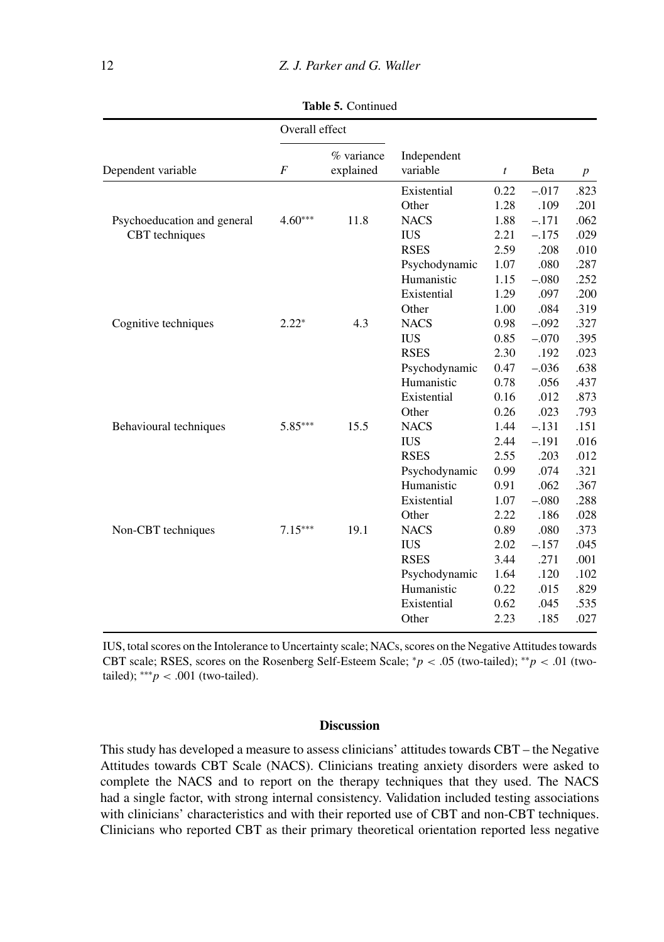|                             | Overall effect |                         |                         |      |         |                  |  |
|-----------------------------|----------------|-------------------------|-------------------------|------|---------|------------------|--|
| Dependent variable          | $\overline{F}$ | % variance<br>explained | Independent<br>variable | t    | Beta    | $\boldsymbol{p}$ |  |
|                             |                |                         | Existential             | 0.22 | $-.017$ | .823             |  |
|                             |                |                         | Other                   | 1.28 | .109    | .201             |  |
| Psychoeducation and general | $4.60***$      | 11.8                    | <b>NACS</b>             | 1.88 | $-.171$ | .062             |  |
| CBT techniques              |                |                         | <b>IUS</b>              | 2.21 | $-.175$ | .029             |  |
|                             |                |                         | <b>RSES</b>             | 2.59 | .208    | .010             |  |
|                             |                |                         | Psychodynamic           | 1.07 | .080    | .287             |  |
|                             |                |                         | Humanistic              | 1.15 | $-.080$ | .252             |  |
|                             |                |                         | Existential             | 1.29 | .097    | .200             |  |
|                             |                |                         | Other                   | 1.00 | .084    | .319             |  |
| Cognitive techniques        | $2.22*$        | 4.3                     | <b>NACS</b>             | 0.98 | $-.092$ | .327             |  |
|                             |                |                         | <b>IUS</b>              | 0.85 | $-.070$ | .395             |  |
|                             |                |                         | <b>RSES</b>             | 2.30 | .192    | .023             |  |
|                             |                |                         | Psychodynamic           | 0.47 | $-.036$ | .638             |  |
|                             |                |                         | Humanistic              | 0.78 | .056    | .437             |  |
|                             |                |                         | Existential             | 0.16 | .012    | .873             |  |
|                             |                |                         | Other                   | 0.26 | .023    | .793             |  |
| Behavioural techniques      | $5.85***$      | 15.5                    | <b>NACS</b>             | 1.44 | $-.131$ | .151             |  |
|                             |                |                         | <b>IUS</b>              | 2.44 | $-.191$ | .016             |  |
|                             |                |                         | <b>RSES</b>             | 2.55 | .203    | .012             |  |
|                             |                |                         | Psychodynamic           | 0.99 | .074    | .321             |  |
|                             |                |                         | Humanistic              | 0.91 | .062    | .367             |  |
|                             |                |                         | Existential             | 1.07 | $-.080$ | .288             |  |
|                             |                |                         | Other                   | 2.22 | .186    | .028             |  |
| Non-CBT techniques          | $7.15***$      | 19.1                    | <b>NACS</b>             | 0.89 | .080    | .373             |  |
|                             |                |                         | <b>IUS</b>              | 2.02 | $-.157$ | .045             |  |
|                             |                |                         | <b>RSES</b>             | 3.44 | .271    | .001             |  |
|                             |                |                         | Psychodynamic           | 1.64 | .120    | .102             |  |
|                             |                |                         | Humanistic              | 0.22 | .015    | .829             |  |
|                             |                |                         | Existential             | 0.62 | .045    | .535             |  |
|                             |                |                         | Other                   | 2.23 | .185    | .027             |  |

**Table 5.** Continued

IUS, total scores on the Intolerance to Uncertainty scale; NACs, scores on the Negative Attitudes towards CBT scale; RSES, scores on the Rosenberg Self-Esteem Scale; <sup>∗</sup>*p* < .05 (two-tailed); ∗∗*p* < .01 (twotailed);  $***p$  < .001 (two-tailed).

#### **Discussion**

This study has developed a measure to assess clinicians' attitudes towards CBT – the Negative Attitudes towards CBT Scale (NACS). Clinicians treating anxiety disorders were asked to complete the NACS and to report on the therapy techniques that they used. The NACS had a single factor, with strong internal consistency. Validation included testing associations with clinicians' characteristics and with their reported use of CBT and non-CBT techniques. Clinicians who reported CBT as their primary theoretical orientation reported less negative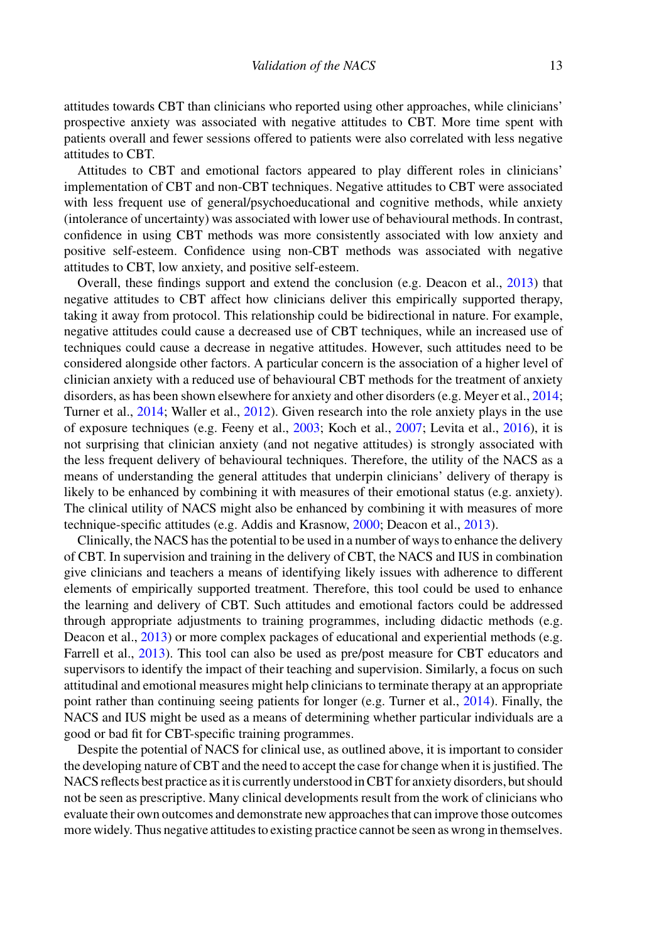attitudes towards CBT than clinicians who reported using other approaches, while clinicians' prospective anxiety was associated with negative attitudes to CBT. More time spent with patients overall and fewer sessions offered to patients were also correlated with less negative attitudes to CBT.

Attitudes to CBT and emotional factors appeared to play different roles in clinicians' implementation of CBT and non-CBT techniques. Negative attitudes to CBT were associated with less frequent use of general/psychoeducational and cognitive methods, while anxiety (intolerance of uncertainty) was associated with lower use of behavioural methods. In contrast, confidence in using CBT methods was more consistently associated with low anxiety and positive self-esteem. Confidence using non-CBT methods was associated with negative attitudes to CBT, low anxiety, and positive self-esteem.

Overall, these findings support and extend the conclusion (e.g. Deacon et al., 2013) that negative attitudes to CBT affect how clinicians deliver this empirically supported therapy, taking it away from protocol. This relationship could be bidirectional in nature. For example, negative attitudes could cause a decreased use of CBT techniques, while an increased use of techniques could cause a decrease in negative attitudes. However, such attitudes need to be considered alongside other factors. A particular concern is the association of a higher level of clinician anxiety with a reduced use of behavioural CBT methods for the treatment of anxiety disorders, as has been shown elsewhere for anxiety and other disorders (e.g. Meyer et al., 2014; Turner et al., 2014; Waller et al., 2012). Given research into the role anxiety plays in the use of exposure techniques (e.g. Feeny et al., 2003; Koch et al., 2007; Levita et al., 2016), it is not surprising that clinician anxiety (and not negative attitudes) is strongly associated with the less frequent delivery of behavioural techniques. Therefore, the utility of the NACS as a means of understanding the general attitudes that underpin clinicians' delivery of therapy is likely to be enhanced by combining it with measures of their emotional status (e.g. anxiety). The clinical utility of NACS might also be enhanced by combining it with measures of more technique-specific attitudes (e.g. Addis and Krasnow, 2000; Deacon et al., 2013).

Clinically, the NACS has the potential to be used in a number of ways to enhance the delivery of CBT. In supervision and training in the delivery of CBT, the NACS and IUS in combination give clinicians and teachers a means of identifying likely issues with adherence to different elements of empirically supported treatment. Therefore, this tool could be used to enhance the learning and delivery of CBT. Such attitudes and emotional factors could be addressed through appropriate adjustments to training programmes, including didactic methods (e.g. Deacon et al., 2013) or more complex packages of educational and experiential methods (e.g. Farrell et al., 2013). This tool can also be used as pre/post measure for CBT educators and supervisors to identify the impact of their teaching and supervision. Similarly, a focus on such attitudinal and emotional measures might help clinicians to terminate therapy at an appropriate point rather than continuing seeing patients for longer (e.g. Turner et al., 2014). Finally, the NACS and IUS might be used as a means of determining whether particular individuals are a good or bad fit for CBT-specific training programmes.

Despite the potential of NACS for clinical use, as outlined above, it is important to consider the developing nature of CBT and the need to accept the case for change when it is justified. The NACS reflects best practice as it is currently understood in CBT for anxiety disorders, but should not be seen as prescriptive. Many clinical developments result from the work of clinicians who evaluate their own outcomes and demonstrate new approaches that can improve those outcomes more widely. Thus negative attitudes to existing practice cannot be seen as wrong in themselves.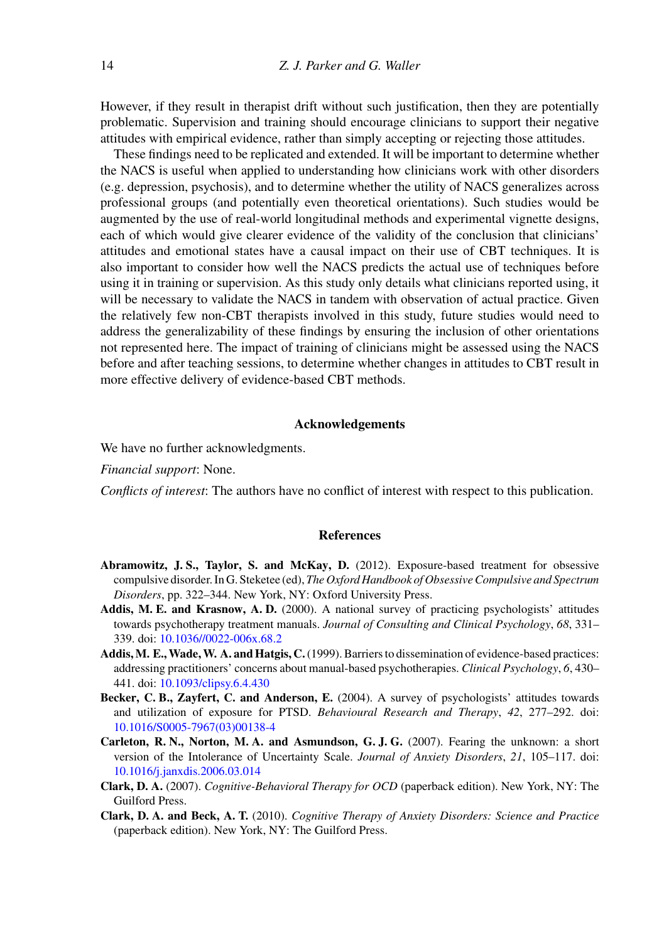However, if they result in therapist drift without such justification, then they are potentially problematic. Supervision and training should encourage clinicians to support their negative attitudes with empirical evidence, rather than simply accepting or rejecting those attitudes.

These findings need to be replicated and extended. It will be important to determine whether the NACS is useful when applied to understanding how clinicians work with other disorders (e.g. depression, psychosis), and to determine whether the utility of NACS generalizes across professional groups (and potentially even theoretical orientations). Such studies would be augmented by the use of real-world longitudinal methods and experimental vignette designs, each of which would give clearer evidence of the validity of the conclusion that clinicians' attitudes and emotional states have a causal impact on their use of CBT techniques. It is also important to consider how well the NACS predicts the actual use of techniques before using it in training or supervision. As this study only details what clinicians reported using, it will be necessary to validate the NACS in tandem with observation of actual practice. Given the relatively few non-CBT therapists involved in this study, future studies would need to address the generalizability of these findings by ensuring the inclusion of other orientations not represented here. The impact of training of clinicians might be assessed using the NACS before and after teaching sessions, to determine whether changes in attitudes to CBT result in more effective delivery of evidence-based CBT methods.

#### **Acknowledgements**

We have no further acknowledgments.

*Financial support*: None.

*Conflicts of interest*: The authors have no conflict of interest with respect to this publication.

#### **References**

- **Abramowitz, J. S., Taylor, S. and McKay, D.** (2012). Exposure-based treatment for obsessive compulsive disorder. In G. Steketee (ed), *The Oxford Handbook of Obsessive Compulsive and Spectrum Disorders*, pp. 322–344. New York, NY: Oxford University Press.
- **Addis, M. E. and Krasnow, A. D.** (2000). A national survey of practicing psychologists' attitudes towards psychotherapy treatment manuals. *Journal of Consulting and Clinical Psychology*, *68*, 331– 339. doi: [10.1036//0022-006x.68.2](https://doi.org/10.1036//0022-006x.68.2)
- **Addis,M. E.,Wade,W. A. and Hatgis, C.**(1999). Barriers to dissemination of evidence-based practices: addressing practitioners' concerns about manual-based psychotherapies. *Clinical Psychology*, *6*, 430– 441. doi: [10.1093/clipsy.6.4.430](https://doi.org/10.1093/clipsy.6.4.430)
- **Becker, C. B., Zayfert, C. and Anderson, E.** (2004). A survey of psychologists' attitudes towards and utilization of exposure for PTSD. *Behavioural Research and Therapy*, *42*, 277–292. doi: [10.1016/S0005-7967\(03\)00138-4](https://doi.org/10.1016/S0005-7967(03)00138-4)
- **Carleton, R. N., Norton, M. A. and Asmundson, G. J. G.** (2007). Fearing the unknown: a short version of the Intolerance of Uncertainty Scale. *Journal of Anxiety Disorders*, *21*, 105–117. doi: [10.1016/j.janxdis.2006.03.014](https://doi.org/10.1016/j.janxdis.2006.03.014)
- **Clark, D. A.** (2007). *Cognitive-Behavioral Therapy for OCD* (paperback edition). New York, NY: The Guilford Press.
- **Clark, D. A. and Beck, A. T.** (2010). *Cognitive Therapy of Anxiety Disorders: Science and Practice* (paperback edition). New York, NY: The Guilford Press.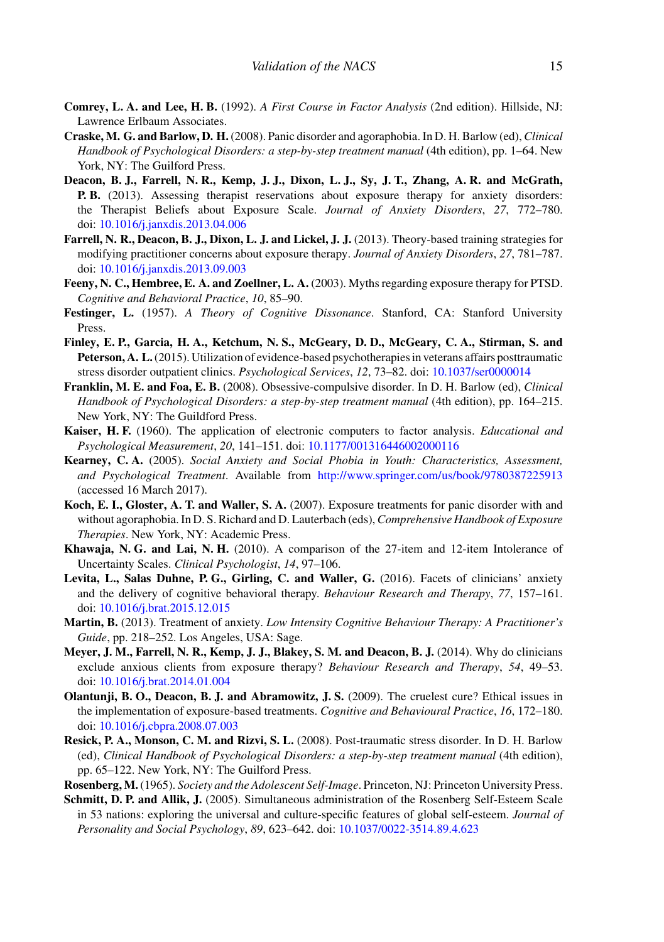- **Comrey, L. A. and Lee, H. B.** (1992). *A First Course in Factor Analysis* (2nd edition). Hillside, NJ: Lawrence Erlbaum Associates.
- **Craske, M. G. and Barlow, D. H.** (2008). Panic disorder and agoraphobia. In D. H. Barlow (ed), *Clinical Handbook of Psychological Disorders: a step-by-step treatment manual* (4th edition), pp. 1–64. New York, NY: The Guilford Press.
- **Deacon, B. J., Farrell, N. R., Kemp, J. J., Dixon, L. J., Sy, J. T., Zhang, A. R. and McGrath, P. B.** (2013). Assessing therapist reservations about exposure therapy for anxiety disorders: the Therapist Beliefs about Exposure Scale. *Journal of Anxiety Disorders*, *27*, 772–780. doi: [10.1016/j.janxdis.2013.04.006](https://doi.org/10.1016/j.janxdis.2013.04.006)
- **Farrell, N. R., Deacon, B. J., Dixon, L. J. and Lickel, J. J.** (2013). Theory-based training strategies for modifying practitioner concerns about exposure therapy. *Journal of Anxiety Disorders*, *27*, 781–787. doi: [10.1016/j.janxdis.2013.09.003](https://doi.org/10.1016/j.janxdis.2013.09.003)
- **Feeny, N. C., Hembree, E. A. and Zoellner, L. A.** (2003). Myths regarding exposure therapy for PTSD. *Cognitive and Behavioral Practice*, *10*, 85–90.
- **Festinger, L.** (1957). *A Theory of Cognitive Dissonance*. Stanford, CA: Stanford University Press.
- **Finley, E. P., Garcia, H. A., Ketchum, N. S., McGeary, D. D., McGeary, C. A., Stirman, S. and Peterson, A. L.**(2015). Utilization of evidence-based psychotherapies in veterans affairs posttraumatic stress disorder outpatient clinics. *Psychological Services*, *12*, 73–82. doi: [10.1037/ser0000014](https://doi.org/10.1037/ser0000014)
- **Franklin, M. E. and Foa, E. B.** (2008). Obsessive-compulsive disorder. In D. H. Barlow (ed), *Clinical Handbook of Psychological Disorders: a step-by-step treatment manual* (4th edition), pp. 164–215. New York, NY: The Guildford Press.
- **Kaiser, H. F.** (1960). The application of electronic computers to factor analysis. *Educational and Psychological Measurement*, *20*, 141–151. doi: [10.1177/001316446002000116](https://doi.org/10.1177/001316446002000116)
- **Kearney, C. A.** (2005). *Social Anxiety and Social Phobia in Youth: Characteristics, Assessment, and Psychological Treatment*. Available from <http://www.springer.com/us/book/9780387225913> (accessed 16 March 2017).
- **Koch, E. I., Gloster, A. T. and Waller, S. A.** (2007). Exposure treatments for panic disorder with and without agoraphobia. In D. S. Richard and D. Lauterbach (eds), *Comprehensive Handbook of Exposure Therapies*. New York, NY: Academic Press.
- **Khawaja, N. G. and Lai, N. H.** (2010). A comparison of the 27-item and 12-item Intolerance of Uncertainty Scales. *Clinical Psychologist*, *14*, 97–106.
- **Levita, L., Salas Duhne, P. G., Girling, C. and Waller, G.** (2016). Facets of clinicians' anxiety and the delivery of cognitive behavioral therapy. *Behaviour Research and Therapy*, *77*, 157–161. doi: [10.1016/j.brat.2015.12.015](https://doi.org/10.1016/j.brat.2015.12.015)
- **Martin, B.** (2013). Treatment of anxiety. *Low Intensity Cognitive Behaviour Therapy: A Practitioner's Guide*, pp. 218–252. Los Angeles, USA: Sage.
- **Meyer, J. M., Farrell, N. R., Kemp, J. J., Blakey, S. M. and Deacon, B. J.** (2014). Why do clinicians exclude anxious clients from exposure therapy? *Behaviour Research and Therapy*, *54*, 49–53. doi: [10.1016/j.brat.2014.01.004](https://doi.org/10.1016/j.brat.2014.01.004)
- **Olantunji, B. O., Deacon, B. J. and Abramowitz, J. S.** (2009). The cruelest cure? Ethical issues in the implementation of exposure-based treatments. *Cognitive and Behavioural Practice*, *16*, 172–180. doi: [10.1016/j.cbpra.2008.07.003](https://doi.org/10.1016/j.cbpra.2008.07.003)
- **Resick, P. A., Monson, C. M. and Rizvi, S. L.** (2008). Post-traumatic stress disorder. In D. H. Barlow (ed), *Clinical Handbook of Psychological Disorders: a step-by-step treatment manual* (4th edition), pp. 65–122. New York, NY: The Guilford Press.
- **Rosenberg, M.** (1965). *Society and the Adolescent Self-Image*. Princeton, NJ: Princeton University Press.
- **Schmitt, D. P. and Allik, J.** (2005). Simultaneous administration of the Rosenberg Self-Esteem Scale in 53 nations: exploring the universal and culture-specific features of global self-esteem. *Journal of Personality and Social Psychology*, *89*, 623–642. doi: [10.1037/0022-3514.89.4.623](https://doi.org/10.1037/0022-3514.89.4.623)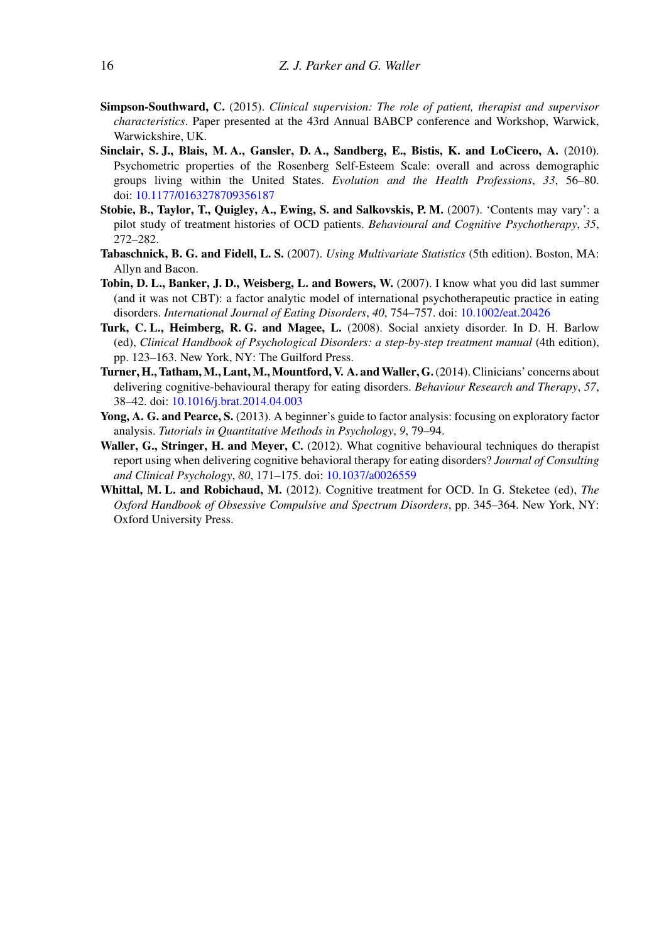- **Simpson-Southward, C.** (2015). *Clinical supervision: The role of patient, therapist and supervisor characteristics*. Paper presented at the 43rd Annual BABCP conference and Workshop, Warwick, Warwickshire, UK.
- **Sinclair, S. J., Blais, M. A., Gansler, D. A., Sandberg, E., Bistis, K. and LoCicero, A.** (2010). Psychometric properties of the Rosenberg Self-Esteem Scale: overall and across demographic groups living within the United States. *Evolution and the Health Professions*, *33*, 56–80. doi: [10.1177/0163278709356187](https://doi.org/10.1177/0163278709356187)
- **Stobie, B., Taylor, T., Quigley, A., Ewing, S. and Salkovskis, P. M.** (2007). 'Contents may vary': a pilot study of treatment histories of OCD patients. *Behavioural and Cognitive Psychotherapy*, *35*, 272–282.
- **Tabaschnick, B. G. and Fidell, L. S.** (2007). *Using Multivariate Statistics* (5th edition). Boston, MA: Allyn and Bacon.
- **Tobin, D. L., Banker, J. D., Weisberg, L. and Bowers, W.** (2007). I know what you did last summer (and it was not CBT): a factor analytic model of international psychotherapeutic practice in eating disorders. *International Journal of Eating Disorders*, *40*, 754–757. doi: [10.1002/eat.20426](https://doi.org/10.1002/eat.20426)
- **Turk, C. L., Heimberg, R. G. and Magee, L.** (2008). Social anxiety disorder. In D. H. Barlow (ed), *Clinical Handbook of Psychological Disorders: a step-by-step treatment manual* (4th edition), pp. 123–163. New York, NY: The Guilford Press.
- **Turner, H., Tatham, M., Lant, M., Mountford, V. A. andWaller, G.**(2014). Clinicians' concerns about delivering cognitive-behavioural therapy for eating disorders. *Behaviour Research and Therapy*, *57*, 38–42. doi: [10.1016/j.brat.2014.04.003](https://doi.org/10.1016/j.brat.2014.04.003)
- **Yong, A. G. and Pearce, S.** (2013). A beginner's guide to factor analysis: focusing on exploratory factor analysis. *Tutorials in Quantitative Methods in Psychology*, *9*, 79–94.
- **Waller, G., Stringer, H. and Meyer, C.** (2012). What cognitive behavioural techniques do therapist report using when delivering cognitive behavioral therapy for eating disorders? *Journal of Consulting and Clinical Psychology*, *80*, 171–175. doi: [10.1037/a0026559](https://doi.org/10.1037/a0026559)
- **Whittal, M. L. and Robichaud, M.** (2012). Cognitive treatment for OCD. In G. Steketee (ed), *The Oxford Handbook of Obsessive Compulsive and Spectrum Disorders*, pp. 345–364. New York, NY: Oxford University Press.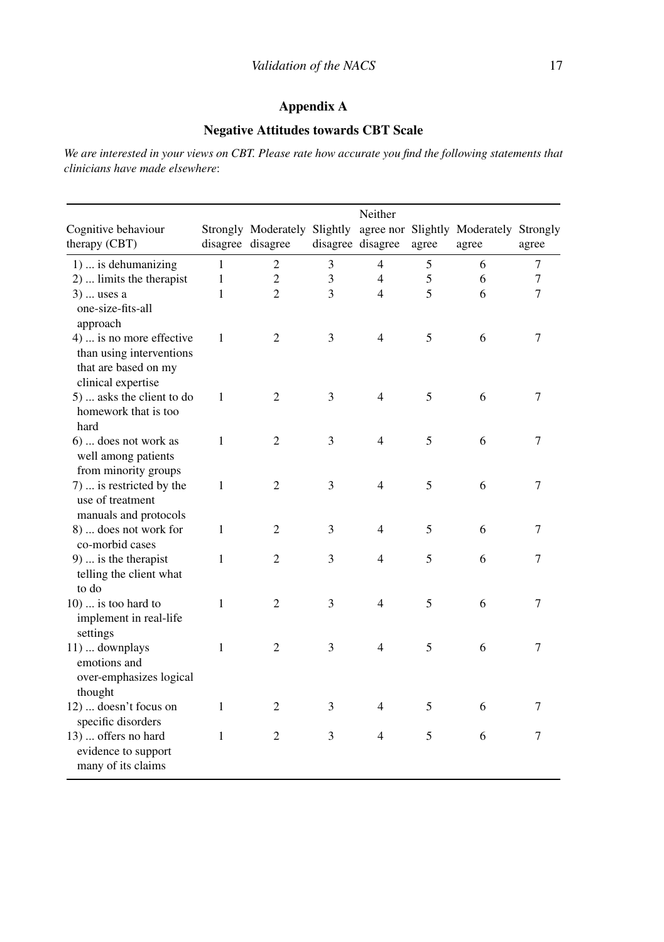# **Appendix A**

### **Negative Attitudes towards CBT Scale**

*We are interested in your views on CBT. Please rate how accurate you find the following statements that clinicians have made elsewhere*:

|                                                                                                    |              |                   |   | Neither           |       |                                                                              |        |
|----------------------------------------------------------------------------------------------------|--------------|-------------------|---|-------------------|-------|------------------------------------------------------------------------------|--------|
| Cognitive behaviour<br>therapy (CBT)                                                               |              | disagree disagree |   | disagree disagree | agree | Strongly Moderately Slightly agree nor Slightly Moderately Strongly<br>agree | agree  |
| 1)  is dehumanizing                                                                                | 1            | $\overline{c}$    | 3 | 4                 | 5     | 6                                                                            | 7      |
| 2)  limits the therapist                                                                           | $\mathbf{1}$ | $\overline{c}$    | 3 | $\overline{4}$    | 5     | 6                                                                            | $\tau$ |
| $3)$ uses a<br>one-size-fits-all<br>approach                                                       | 1            | $\overline{2}$    | 3 | 4                 | 5     | 6                                                                            | 7      |
| 4)  is no more effective<br>than using interventions<br>that are based on my<br>clinical expertise | 1            | $\overline{2}$    | 3 | $\overline{4}$    | 5     | 6                                                                            | 7      |
| 5)  asks the client to do<br>homework that is too<br>hard                                          | 1            | $\overline{c}$    | 3 | $\overline{4}$    | 5     | 6                                                                            | 7      |
| 6)  does not work as<br>well among patients<br>from minority groups                                | 1            | $\overline{2}$    | 3 | $\overline{4}$    | 5     | 6                                                                            | 7      |
| 7)  is restricted by the<br>use of treatment<br>manuals and protocols                              | 1            | $\overline{c}$    | 3 | $\overline{4}$    | 5     | 6                                                                            | 7      |
| 8)  does not work for<br>co-morbid cases                                                           | 1            | $\overline{c}$    | 3 | 4                 | 5     | 6                                                                            | 7      |
| $9)$ is the therapist<br>telling the client what<br>to do                                          | 1            | 2                 | 3 | 4                 | 5     | 6                                                                            | 7      |
| $10)$ is too hard to<br>implement in real-life<br>settings                                         | 1            | $\overline{2}$    | 3 | $\overline{4}$    | 5     | 6                                                                            | $\tau$ |
| 11)  downplays<br>emotions and<br>over-emphasizes logical<br>thought                               | 1            | 2                 | 3 | 4                 | 5     | 6                                                                            | 7      |
| 12)  doesn't focus on<br>specific disorders                                                        | 1            | 2                 | 3 | 4                 | 5     | 6                                                                            | 7      |
| 13)  offers no hard<br>evidence to support<br>many of its claims                                   | 1            | $\overline{c}$    | 3 | $\overline{4}$    | 5     | 6                                                                            | 7      |